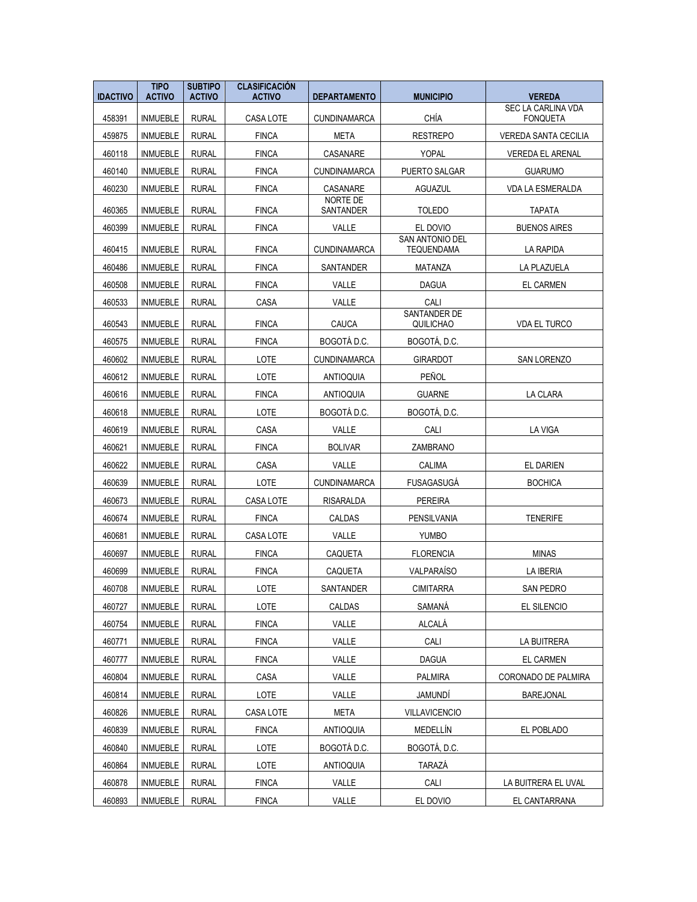| <b>IDACTIVO</b> | <b>TIPO</b><br><b>ACTIVO</b> | <b>SUBTIPO</b><br><b>ACTIVO</b> | <b>CLASIFICACIÓN</b><br><b>ACTIVO</b> | <b>DEPARTAMENTO</b>  | <b>MUNICIPIO</b>            | <b>VEREDA</b>               |
|-----------------|------------------------------|---------------------------------|---------------------------------------|----------------------|-----------------------------|-----------------------------|
|                 |                              |                                 |                                       |                      |                             | <b>SEC LA CARLINA VDA</b>   |
| 458391          | <b>INMUEBLE</b>              | <b>RURAL</b>                    | CASA LOTE                             | <b>CUNDINAMARCA</b>  | CHÍA                        | <b>FONQUETA</b>             |
| 459875          | <b>INMUEBLE</b>              | <b>RURAL</b>                    | <b>FINCA</b>                          | META                 | <b>RESTREPO</b>             | <b>VEREDA SANTA CECILIA</b> |
| 460118          | <b>INMUEBLE</b>              | <b>RURAL</b>                    | <b>FINCA</b>                          | CASANARE             | <b>YOPAL</b>                | <b>VEREDA EL ARENAL</b>     |
| 460140          | <b>INMUEBLE</b>              | <b>RURAL</b>                    | <b>FINCA</b>                          | <b>CUNDINAMARCA</b>  | PUERTO SALGAR               | <b>GUARUMO</b>              |
| 460230          | <b>INMUEBLE</b>              | <b>RURAL</b>                    | <b>FINCA</b>                          | CASANARE<br>NORTE DE | AGUAZUL                     | <b>VDA LA ESMERALDA</b>     |
| 460365          | <b>INMUEBLE</b>              | <b>RURAL</b>                    | <b>FINCA</b>                          | SANTANDER            | <b>TOLEDO</b>               | <b>TAPATA</b>               |
| 460399          | <b>INMUEBLE</b>              | <b>RURAL</b>                    | <b>FINCA</b>                          | VALLE                | EL DOVIO<br>SAN ANTONIO DEL | <b>BUENOS AIRES</b>         |
| 460415          | <b>INMUEBLE</b>              | <b>RURAL</b>                    | <b>FINCA</b>                          | <b>CUNDINAMARCA</b>  | <b>TEQUENDAMA</b>           | LA RAPIDA                   |
| 460486          | <b>INMUEBLE</b>              | <b>RURAL</b>                    | <b>FINCA</b>                          | SANTANDER            | MATANZA                     | LA PLAZUELA                 |
| 460508          | <b>INMUEBLE</b>              | <b>RURAL</b>                    | <b>FINCA</b>                          | VALLE                | <b>DAGUA</b>                | <b>EL CARMEN</b>            |
| 460533          | <b>INMUEBLE</b>              | <b>RURAL</b>                    | CASA                                  | VALLE                | CALI                        |                             |
| 460543          | <b>INMUEBLE</b>              | <b>RURAL</b>                    | <b>FINCA</b>                          | CAUCA                | SANTANDER DE<br>QUILICHAO   | <b>VDA EL TURCO</b>         |
| 460575          | <b>INMUEBLE</b>              | <b>RURAL</b>                    | <b>FINCA</b>                          | BOGOTÁ D.C.          | BOGOTÁ, D.C.                |                             |
| 460602          | <b>INMUEBLE</b>              | <b>RURAL</b>                    | LOTE                                  | <b>CUNDINAMARCA</b>  | <b>GIRARDOT</b>             | SAN LORENZO                 |
| 460612          | <b>INMUEBLE</b>              | <b>RURAL</b>                    | LOTE                                  | <b>ANTIOQUIA</b>     | PEÑOL                       |                             |
| 460616          | <b>INMUEBLE</b>              | <b>RURAL</b>                    | <b>FINCA</b>                          | <b>ANTIOQUIA</b>     | <b>GUARNE</b>               | LA CLARA                    |
| 460618          | <b>INMUEBLE</b>              | <b>RURAL</b>                    | LOTE                                  | BOGOTÁ D.C.          | BOGOTÁ, D.C.                |                             |
| 460619          | <b>INMUEBLE</b>              | <b>RURAL</b>                    | CASA                                  | VALLE                | CALI                        | <b>LA VIGA</b>              |
| 460621          | <b>INMUEBLE</b>              | <b>RURAL</b>                    | <b>FINCA</b>                          | <b>BOLIVAR</b>       | ZAMBRANO                    |                             |
| 460622          | <b>INMUEBLE</b>              | <b>RURAL</b>                    | CASA                                  | VALLE                | CALIMA                      | <b>EL DARIEN</b>            |
| 460639          | <b>INMUEBLE</b>              | <b>RURAL</b>                    | LOTE                                  | <b>CUNDINAMARCA</b>  | <b>FUSAGASUGÁ</b>           | <b>BOCHICA</b>              |
| 460673          | <b>INMUEBLE</b>              | <b>RURAL</b>                    | CASA LOTE                             | RISARALDA            | <b>PEREIRA</b>              |                             |
| 460674          | <b>INMUEBLE</b>              | <b>RURAL</b>                    | <b>FINCA</b>                          | CALDAS               | PENSILVANIA                 | <b>TENERIFE</b>             |
| 460681          | <b>INMUEBLE</b>              | <b>RURAL</b>                    | CASA LOTE                             | VALLE                | <b>YUMBO</b>                |                             |
| 460697          | <b>INMUEBLE</b>              | <b>RURAL</b>                    | <b>FINCA</b>                          | CAQUETA              | <b>FLORENCIA</b>            | <b>MINAS</b>                |
| 460699          | <b>INMUEBLE</b>              | <b>RURAL</b>                    | <b>FINCA</b>                          | CAQUETA              | VALPARAÍSO                  | LA IBERIA                   |
| 460708          | <b>INMUEBLE</b>              | <b>RURAL</b>                    | LOTE                                  | SANTANDER            | <b>CIMITARRA</b>            | <b>SAN PEDRO</b>            |
| 460727          | <b>INMUEBLE</b>              | <b>RURAL</b>                    | LOTE                                  | CALDAS               | SAMANÁ                      | EL SILENCIO                 |
| 460754          | <b>INMUEBLE</b>              | <b>RURAL</b>                    | <b>FINCA</b>                          | VALLE                | ALCALÁ                      |                             |
| 460771          | <b>INMUEBLE</b>              | RURAL                           | <b>FINCA</b>                          | VALLE                | CALI                        | LA BUITRERA                 |
| 460777          | INMUEBLE                     | RURAL                           | <b>FINCA</b>                          | VALLE                | <b>DAGUA</b>                | EL CARMEN                   |
| 460804          | <b>INMUEBLE</b>              | <b>RURAL</b>                    | CASA                                  | VALLE                | <b>PALMIRA</b>              | CORONADO DE PALMIRA         |
| 460814          | <b>INMUEBLE</b>              | RURAL                           | LOTE                                  | VALLE                | JAMUNDÍ                     | <b>BAREJONAL</b>            |
| 460826          | <b>INMUEBLE</b>              | <b>RURAL</b>                    | CASA LOTE                             | <b>META</b>          | <b>VILLAVICENCIO</b>        |                             |
| 460839          | <b>INMUEBLE</b>              | <b>RURAL</b>                    | <b>FINCA</b>                          | <b>ANTIOQUIA</b>     | MEDELLÍN                    | EL POBLADO                  |
| 460840          | <b>INMUEBLE</b>              | <b>RURAL</b>                    | LOTE                                  | BOGOTÁ D.C.          | BOGOTÁ, D.C.                |                             |
| 460864          | INMUEBLE                     | RURAL                           | LOTE                                  | ANTIOQUIA            | TARAZÁ                      |                             |
| 460878          | <b>INMUEBLE</b>              | RURAL                           | <b>FINCA</b>                          | VALLE                | CALI                        | LA BUITRERA EL UVAL         |
| 460893          | <b>INMUEBLE</b>              | <b>RURAL</b>                    | <b>FINCA</b>                          | VALLE                | EL DOVIO                    | EL CANTARRANA               |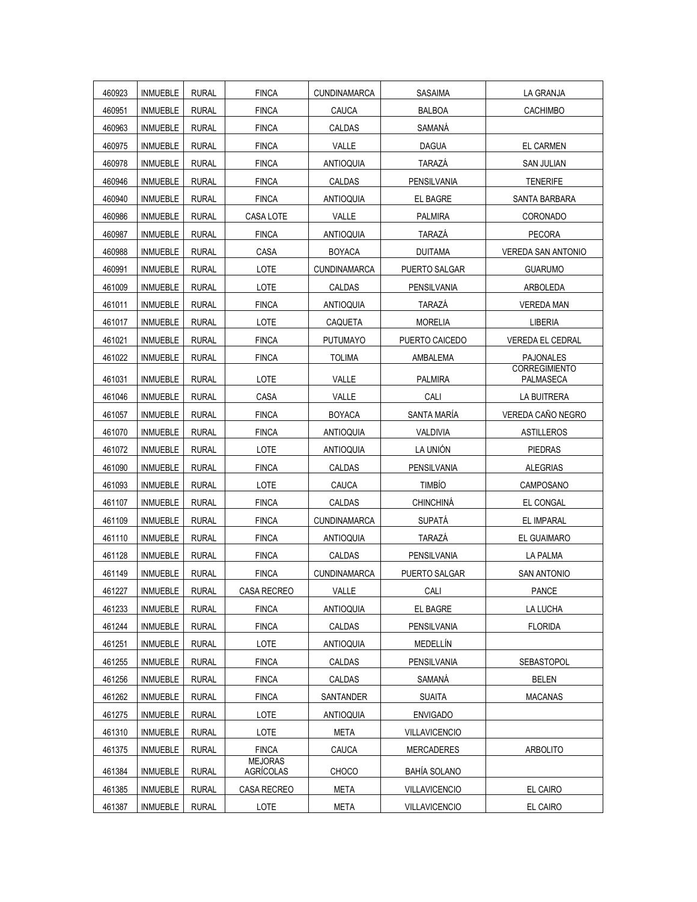| 460923 | <b>INMUEBLE</b> | <b>RURAL</b> | <b>FINCA</b>                | <b>CUNDINAMARCA</b> | <b>SASAIMA</b>       | LA GRANJA                         |
|--------|-----------------|--------------|-----------------------------|---------------------|----------------------|-----------------------------------|
| 460951 | <b>INMUEBLE</b> | <b>RURAL</b> | <b>FINCA</b>                | CAUCA               | <b>BALBOA</b>        | <b>CACHIMBO</b>                   |
| 460963 | <b>INMUEBLE</b> | <b>RURAL</b> | <b>FINCA</b>                | CALDAS              | SAMANÁ               |                                   |
| 460975 | <b>INMUEBLE</b> | <b>RURAL</b> | <b>FINCA</b>                | VALLE               | <b>DAGUA</b>         | <b>EL CARMEN</b>                  |
| 460978 | <b>INMUEBLE</b> | <b>RURAL</b> | <b>FINCA</b>                | <b>ANTIOQUIA</b>    | TARAZÁ               | <b>SAN JULIAN</b>                 |
| 460946 | <b>INMUEBLE</b> | <b>RURAL</b> | <b>FINCA</b>                | CALDAS              | PENSILVANIA          | <b>TENERIFE</b>                   |
| 460940 | <b>INMUEBLE</b> | <b>RURAL</b> | <b>FINCA</b>                | <b>ANTIOQUIA</b>    | EL BAGRE             | SANTA BARBARA                     |
| 460986 | <b>INMUEBLE</b> | <b>RURAL</b> | CASA LOTE                   | VALLE               | <b>PALMIRA</b>       | <b>CORONADO</b>                   |
| 460987 | <b>INMUEBLE</b> | <b>RURAL</b> | <b>FINCA</b>                | <b>ANTIOQUIA</b>    | <b>TARAZÁ</b>        | <b>PECORA</b>                     |
| 460988 | <b>INMUEBLE</b> | <b>RURAL</b> | CASA                        | <b>BOYACA</b>       | <b>DUITAMA</b>       | <b>VEREDA SAN ANTONIO</b>         |
| 460991 | <b>INMUEBLE</b> | <b>RURAL</b> | LOTE                        | <b>CUNDINAMARCA</b> | <b>PUERTO SALGAR</b> | <b>GUARUMO</b>                    |
| 461009 | <b>INMUEBLE</b> | <b>RURAL</b> | LOTE                        | CALDAS              | PENSILVANIA          | ARBOLEDA                          |
| 461011 | <b>INMUEBLE</b> | <b>RURAL</b> | <b>FINCA</b>                | <b>ANTIOQUIA</b>    | <b>TARAZÁ</b>        | <b>VEREDA MAN</b>                 |
| 461017 | <b>INMUEBLE</b> | <b>RURAL</b> | LOTE                        | CAQUETA             | <b>MORELIA</b>       | LIBERIA                           |
| 461021 | <b>INMUEBLE</b> | <b>RURAL</b> | <b>FINCA</b>                | <b>PUTUMAYO</b>     | PUERTO CAICEDO       | <b>VEREDA EL CEDRAL</b>           |
| 461022 | <b>INMUEBLE</b> | <b>RURAL</b> | <b>FINCA</b>                | <b>TOLIMA</b>       | AMBALEMA             | <b>PAJONALES</b>                  |
| 461031 | <b>INMUEBLE</b> | <b>RURAL</b> | LOTE                        | VALLE               | <b>PALMIRA</b>       | <b>CORREGIMIENTO</b><br>PALMASECA |
| 461046 | <b>INMUEBLE</b> | <b>RURAL</b> | CASA                        | VALLE               | CALI                 | LA BUITRERA                       |
| 461057 | <b>INMUEBLE</b> | <b>RURAL</b> | <b>FINCA</b>                | <b>BOYACA</b>       | SANTA MARÍA          | VEREDA CAÑO NEGRO                 |
| 461070 | <b>INMUEBLE</b> | <b>RURAL</b> | <b>FINCA</b>                | <b>ANTIOQUIA</b>    | VALDIVIA             | <b>ASTILLEROS</b>                 |
| 461072 | <b>INMUEBLE</b> | <b>RURAL</b> | LOTE                        | <b>ANTIOQUIA</b>    | LA UNIÓN             | <b>PIEDRAS</b>                    |
| 461090 | <b>INMUEBLE</b> | <b>RURAL</b> | <b>FINCA</b>                | CALDAS              | PENSILVANIA          | <b>ALEGRIAS</b>                   |
| 461093 | <b>INMUEBLE</b> | <b>RURAL</b> | LOTE                        | CAUCA               | <b>TIMBÍO</b>        | CAMPOSANO                         |
| 461107 | <b>INMUEBLE</b> | <b>RURAL</b> | <b>FINCA</b>                | CALDAS              | CHINCHINÁ            | EL CONGAL                         |
| 461109 | <b>INMUEBLE</b> | <b>RURAL</b> | <b>FINCA</b>                | <b>CUNDINAMARCA</b> | <b>SUPATÁ</b>        | EL IMPARAL                        |
| 461110 | <b>INMUEBLE</b> | <b>RURAL</b> | <b>FINCA</b>                | <b>ANTIOQUIA</b>    | TARAZÁ               | EL GUAIMARO                       |
| 461128 | <b>INMUEBLE</b> | <b>RURAL</b> | <b>FINCA</b>                | CALDAS              | PENSILVANIA          | <b>LA PALMA</b>                   |
| 461149 | <b>INMUEBLE</b> | <b>RURAL</b> | <b>FINCA</b>                | <b>CUNDINAMARCA</b> | PUERTO SALGAR        | <b>SAN ANTONIO</b>                |
| 461227 | <b>INMUEBLE</b> | <b>RURAL</b> | CASA RECREO                 | VALLE               | CALI                 | PANCE                             |
| 461233 | <b>INMUEBLE</b> | <b>RURAL</b> | <b>FINCA</b>                | <b>ANTIOQUIA</b>    | EL BAGRE             | LA LUCHA                          |
| 461244 | <b>INMUEBLE</b> | <b>RURAL</b> | <b>FINCA</b>                | <b>CALDAS</b>       | PENSILVANIA          | <b>FLORIDA</b>                    |
| 461251 | <b>INMUEBLE</b> | <b>RURAL</b> | LOTE                        | <b>ANTIOQUIA</b>    | MEDELLÍN             |                                   |
| 461255 | <b>INMUEBLE</b> | <b>RURAL</b> | <b>FINCA</b>                | CALDAS              | PENSILVANIA          | <b>SEBASTOPOL</b>                 |
| 461256 | <b>INMUEBLE</b> | <b>RURAL</b> | <b>FINCA</b>                | <b>CALDAS</b>       | SAMANÁ               | <b>BELEN</b>                      |
| 461262 | <b>INMUEBLE</b> | <b>RURAL</b> | <b>FINCA</b>                | SANTANDER           | <b>SUAITA</b>        | <b>MACANAS</b>                    |
| 461275 | <b>INMUEBLE</b> | <b>RURAL</b> | LOTE                        | <b>ANTIOQUIA</b>    | <b>ENVIGADO</b>      |                                   |
| 461310 | <b>INMUEBLE</b> | <b>RURAL</b> | LOTE                        | <b>META</b>         | <b>VILLAVICENCIO</b> |                                   |
| 461375 | <b>INMUEBLE</b> | <b>RURAL</b> | <b>FINCA</b>                | CAUCA               | <b>MERCADERES</b>    | <b>ARBOLITO</b>                   |
| 461384 | <b>INMUEBLE</b> | <b>RURAL</b> | <b>MEJORAS</b><br>AGRÍCOLAS | CHOCO               | <b>BAHÍA SOLANO</b>  |                                   |
| 461385 | <b>INMUEBLE</b> | <b>RURAL</b> | CASA RECREO                 | <b>META</b>         | <b>VILLAVICENCIO</b> | EL CAIRO                          |
| 461387 | <b>INMUEBLE</b> | <b>RURAL</b> | LOTE                        | META                | <b>VILLAVICENCIO</b> | EL CAIRO                          |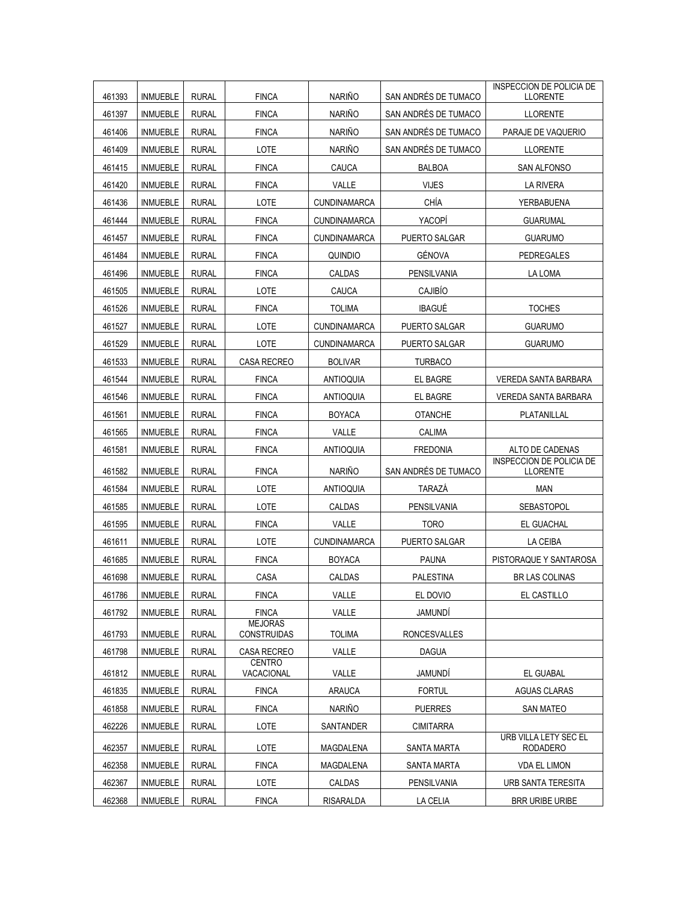| 461393 | <b>INMUEBLE</b> | <b>RURAL</b> | <b>FINCA</b>                         | <b>NARIÑO</b>       | SAN ANDRÉS DE TUMACO | <b>INSPECCION DE POLICIA DE</b><br><b>LLORENTE</b> |
|--------|-----------------|--------------|--------------------------------------|---------------------|----------------------|----------------------------------------------------|
| 461397 | <b>INMUEBLE</b> | <b>RURAL</b> | <b>FINCA</b>                         | <b>NARIÑO</b>       | SAN ANDRÉS DE TUMACO | <b>LLORENTE</b>                                    |
| 461406 | <b>INMUEBLE</b> | <b>RURAL</b> | <b>FINCA</b>                         | <b>NARIÑO</b>       | SAN ANDRÉS DE TUMACO | PARAJE DE VAQUERIO                                 |
| 461409 | <b>INMUEBLE</b> | <b>RURAL</b> | LOTE                                 | <b>NARIÑO</b>       | SAN ANDRÉS DE TUMACO | <b>LLORENTE</b>                                    |
| 461415 | <b>INMUEBLE</b> | <b>RURAL</b> | <b>FINCA</b>                         | CAUCA               | <b>BALBOA</b>        | SAN ALFONSO                                        |
| 461420 | <b>INMUEBLE</b> | <b>RURAL</b> | <b>FINCA</b>                         | VALLE               | <b>VIJES</b>         | <b>LA RIVERA</b>                                   |
| 461436 | <b>INMUEBLE</b> | <b>RURAL</b> | LOTE                                 | CUNDINAMARCA        | CHÍA                 | YERBABUENA                                         |
| 461444 | <b>INMUEBLE</b> | <b>RURAL</b> | <b>FINCA</b>                         | <b>CUNDINAMARCA</b> | YACOPÍ               | <b>GUARUMAL</b>                                    |
| 461457 | <b>INMUEBLE</b> | <b>RURAL</b> | <b>FINCA</b>                         | <b>CUNDINAMARCA</b> | PUERTO SALGAR        | <b>GUARUMO</b>                                     |
| 461484 | <b>INMUEBLE</b> | <b>RURAL</b> | <b>FINCA</b>                         | QUINDIO             | GÉNOVA               | <b>PEDREGALES</b>                                  |
| 461496 | <b>INMUEBLE</b> | <b>RURAL</b> | <b>FINCA</b>                         | CALDAS              | PENSILVANIA          | LA LOMA                                            |
| 461505 | <b>INMUEBLE</b> | <b>RURAL</b> | LOTE                                 | CAUCA               | CAJIBÍO              |                                                    |
| 461526 | <b>INMUEBLE</b> | <b>RURAL</b> | <b>FINCA</b>                         | <b>TOLIMA</b>       | <b>IBAGUÉ</b>        | <b>TOCHES</b>                                      |
| 461527 | <b>INMUEBLE</b> | <b>RURAL</b> | LOTE                                 | CUNDINAMARCA        | PUERTO SALGAR        | <b>GUARUMO</b>                                     |
| 461529 | <b>INMUEBLE</b> | <b>RURAL</b> | LOTE                                 | <b>CUNDINAMARCA</b> | PUERTO SALGAR        | <b>GUARUMO</b>                                     |
| 461533 | <b>INMUEBLE</b> | <b>RURAL</b> | CASA RECREO                          | <b>BOLIVAR</b>      | <b>TURBACO</b>       |                                                    |
| 461544 | <b>INMUEBLE</b> | <b>RURAL</b> | <b>FINCA</b>                         | <b>ANTIOQUIA</b>    | EL BAGRE             | VEREDA SANTA BARBARA                               |
| 461546 | <b>INMUEBLE</b> | <b>RURAL</b> | <b>FINCA</b>                         | <b>ANTIOQUIA</b>    | EL BAGRE             | <b>VEREDA SANTA BARBARA</b>                        |
| 461561 | <b>INMUEBLE</b> | <b>RURAL</b> | <b>FINCA</b>                         | <b>BOYACA</b>       | <b>OTANCHE</b>       | PLATANILLAL                                        |
| 461565 | <b>INMUEBLE</b> | <b>RURAL</b> | <b>FINCA</b>                         | VALLE               | CALIMA               |                                                    |
| 461581 | <b>INMUEBLE</b> | <b>RURAL</b> | <b>FINCA</b>                         | <b>ANTIOQUIA</b>    | <b>FREDONIA</b>      | ALTO DE CADENAS                                    |
| 461582 | <b>INMUEBLE</b> | <b>RURAL</b> | <b>FINCA</b>                         | <b>NARIÑO</b>       | SAN ANDRÉS DE TUMACO | <b>INSPECCION DE POLICIA DE</b><br><b>LLORENTE</b> |
| 461584 | <b>INMUEBLE</b> | <b>RURAL</b> | LOTE                                 | <b>ANTIOQUIA</b>    | TARAZÁ               | <b>MAN</b>                                         |
| 461585 | <b>INMUEBLE</b> | <b>RURAL</b> | LOTE                                 | CALDAS              | PENSILVANIA          | <b>SEBASTOPOL</b>                                  |
| 461595 | <b>INMUEBLE</b> | <b>RURAL</b> | <b>FINCA</b>                         | VALLE               | <b>TORO</b>          | EL GUACHAL                                         |
| 461611 | <b>INMUEBLE</b> | <b>RURAL</b> | LOTE                                 | <b>CUNDINAMARCA</b> | <b>PUERTO SALGAR</b> | LA CEIBA                                           |
| 461685 | <b>INMUEBLE</b> | <b>RURAL</b> | <b>FINCA</b>                         | <b>BOYACA</b>       | <b>PAUNA</b>         | PISTORAQUE Y SANTAROSA                             |
| 461698 | <b>INMUEBLE</b> | <b>RURAL</b> | CASA                                 | CALDAS              | <b>PALESTINA</b>     | <b>BR LAS COLINAS</b>                              |
| 461786 | <b>INMUEBLE</b> | <b>RURAL</b> | <b>FINCA</b>                         | VALLE               | EL DOVIO             | EL CASTILLO                                        |
| 461792 | <b>INMUEBLE</b> | <b>RURAL</b> | <b>FINCA</b>                         | VALLE               | JAMUNDÍ              |                                                    |
| 461793 | <b>INMUEBLE</b> | <b>RURAL</b> | <b>MEJORAS</b><br><b>CONSTRUIDAS</b> | <b>TOLIMA</b>       | <b>RONCESVALLES</b>  |                                                    |
| 461798 | <b>INMUEBLE</b> | <b>RURAL</b> | CASA RECREO                          | VALLE               | <b>DAGUA</b>         |                                                    |
| 461812 | <b>INMUEBLE</b> | <b>RURAL</b> | <b>CENTRO</b><br>VACACIONAL          | VALLE               | JAMUNDÍ              | <b>EL GUABAL</b>                                   |
| 461835 | <b>INMUEBLE</b> | <b>RURAL</b> | <b>FINCA</b>                         | <b>ARAUCA</b>       | <b>FORTUL</b>        | <b>AGUAS CLARAS</b>                                |
| 461858 | <b>INMUEBLE</b> | <b>RURAL</b> | <b>FINCA</b>                         | <b>NARIÑO</b>       | <b>PUERRES</b>       | <b>SAN MATEO</b>                                   |
| 462226 | <b>INMUEBLE</b> | <b>RURAL</b> | LOTE                                 | SANTANDER           | <b>CIMITARRA</b>     |                                                    |
| 462357 | <b>INMUEBLE</b> | <b>RURAL</b> | LOTE                                 | MAGDALENA           | SANTA MARTA          | URB VILLA LETY SEC EL<br><b>RODADERO</b>           |
| 462358 | <b>INMUEBLE</b> | <b>RURAL</b> | <b>FINCA</b>                         | MAGDALENA           | SANTA MARTA          | <b>VDA EL LIMON</b>                                |
| 462367 | <b>INMUEBLE</b> | <b>RURAL</b> | LOTE                                 | CALDAS              | PENSILVANIA          | URB SANTA TERESITA                                 |
| 462368 | <b>INMUEBLE</b> | <b>RURAL</b> | <b>FINCA</b>                         | <b>RISARALDA</b>    | LA CELIA             | <b>BRR URIBE URIBE</b>                             |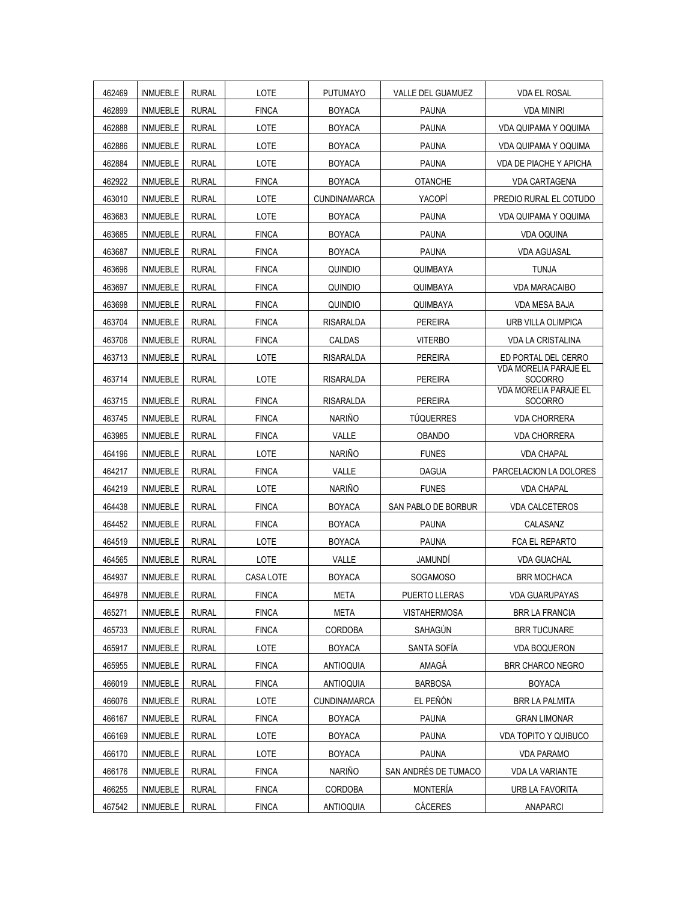| 462469 | <b>INMUEBLE</b> | <b>RURAL</b> | LOTE         | <b>PUTUMAYO</b>     | VALLE DEL GUAMUEZ    | VDA EL ROSAL                                   |
|--------|-----------------|--------------|--------------|---------------------|----------------------|------------------------------------------------|
| 462899 | <b>INMUEBLE</b> | <b>RURAL</b> | <b>FINCA</b> | <b>BOYACA</b>       | <b>PAUNA</b>         | VDA MINIRI                                     |
| 462888 | <b>INMUEBLE</b> | <b>RURAL</b> | LOTE         | <b>BOYACA</b>       | <b>PAUNA</b>         | <b>VDA QUIPAMA Y OQUIMA</b>                    |
| 462886 | <b>INMUEBLE</b> | <b>RURAL</b> | LOTE         | <b>BOYACA</b>       | <b>PAUNA</b>         | VDA QUIPAMA Y OQUIMA                           |
| 462884 | <b>INMUEBLE</b> | <b>RURAL</b> | LOTE         | <b>BOYACA</b>       | <b>PAUNA</b>         | VDA DE PIACHE Y APICHA                         |
| 462922 | <b>INMUEBLE</b> | <b>RURAL</b> | <b>FINCA</b> | <b>BOYACA</b>       | <b>OTANCHE</b>       | <b>VDA CARTAGENA</b>                           |
| 463010 | <b>INMUEBLE</b> | <b>RURAL</b> | LOTE         | <b>CUNDINAMARCA</b> | YACOPI               | PREDIO RURAL EL COTUDO                         |
| 463683 | <b>INMUEBLE</b> | <b>RURAL</b> | LOTE         | <b>BOYACA</b>       | <b>PAUNA</b>         | VDA QUIPAMA Y OQUIMA                           |
| 463685 | <b>INMUEBLE</b> | <b>RURAL</b> | <b>FINCA</b> | <b>BOYACA</b>       | <b>PAUNA</b>         | <b>VDA OQUINA</b>                              |
| 463687 | <b>INMUEBLE</b> | <b>RURAL</b> | <b>FINCA</b> | <b>BOYACA</b>       | <b>PAUNA</b>         | <b>VDA AGUASAL</b>                             |
| 463696 | <b>INMUEBLE</b> | <b>RURAL</b> | <b>FINCA</b> | QUINDIO             | QUIMBAYA             | <b>TUNJA</b>                                   |
| 463697 | <b>INMUEBLE</b> | <b>RURAL</b> | <b>FINCA</b> | QUINDIO             | QUIMBAYA             | <b>VDA MARACAIBO</b>                           |
| 463698 | <b>INMUEBLE</b> | <b>RURAL</b> | <b>FINCA</b> | <b>QUINDIO</b>      | QUIMBAYA             | VDA MESA BAJA                                  |
| 463704 | <b>INMUEBLE</b> | <b>RURAL</b> | <b>FINCA</b> | <b>RISARALDA</b>    | <b>PEREIRA</b>       | URB VILLA OLIMPICA                             |
| 463706 | <b>INMUEBLE</b> | <b>RURAL</b> | <b>FINCA</b> | CALDAS              | <b>VITERBO</b>       | <b>VDA LA CRISTALINA</b>                       |
| 463713 | <b>INMUEBLE</b> | <b>RURAL</b> | LOTE         | RISARALDA           | <b>PEREIRA</b>       | ED PORTAL DEL CERRO                            |
| 463714 | <b>INMUEBLE</b> | <b>RURAL</b> | LOTE         | RISARALDA           | <b>PEREIRA</b>       | <b>VDA MORELIA PARAJE EL</b><br><b>SOCORRO</b> |
| 463715 | <b>INMUEBLE</b> | <b>RURAL</b> | <b>FINCA</b> | <b>RISARALDA</b>    | <b>PEREIRA</b>       | <b>VDA MORELIA PARAJE EL</b><br><b>SOCORRO</b> |
| 463745 | <b>INMUEBLE</b> | <b>RURAL</b> | <b>FINCA</b> | <b>NARIÑO</b>       | <b>TÜQUERRES</b>     | <b>VDA CHORRERA</b>                            |
| 463985 | <b>INMUEBLE</b> | <b>RURAL</b> | <b>FINCA</b> | VALLE               | <b>OBANDO</b>        | <b>VDA CHORRERA</b>                            |
| 464196 | <b>INMUEBLE</b> | <b>RURAL</b> | LOTE         | <b>NARIÑO</b>       | <b>FUNES</b>         | <b>VDA CHAPAL</b>                              |
| 464217 | <b>INMUEBLE</b> | <b>RURAL</b> | <b>FINCA</b> | VALLE               | <b>DAGUA</b>         | PARCELACION LA DOLORES                         |
| 464219 | <b>INMUEBLE</b> | <b>RURAL</b> | LOTE         | <b>NARIÑO</b>       | <b>FUNES</b>         | <b>VDA CHAPAL</b>                              |
| 464438 | <b>INMUEBLE</b> | <b>RURAL</b> | <b>FINCA</b> | <b>BOYACA</b>       | SAN PABLO DE BORBUR  | VDA CALCETEROS                                 |
| 464452 | <b>INMUEBLE</b> | <b>RURAL</b> | <b>FINCA</b> | <b>BOYACA</b>       | <b>PAUNA</b>         | CALASANZ                                       |
| 464519 | <b>INMUEBLE</b> | <b>RURAL</b> | LOTE         | <b>BOYACA</b>       | <b>PAUNA</b>         | FCA EL REPARTO                                 |
| 464565 | <b>INMUEBLE</b> | <b>RURAL</b> | LOTE         | VALLE               | <b>JAMUNDI</b>       | <b>VDA GUACHAL</b>                             |
| 464937 | <b>INMUEBLE</b> | <b>RURAL</b> | CASA LOTE    | <b>BOYACA</b>       | <b>SOGAMOSO</b>      | <b>BRR MOCHACA</b>                             |
| 464978 | <b>INMUEBLE</b> | <b>RURAL</b> | <b>FINCA</b> | <b>META</b>         | PUERTO LLERAS        | VDA GUARUPAYAS                                 |
| 465271 | <b>INMUEBLE</b> | <b>RURAL</b> | <b>FINCA</b> | <b>META</b>         | <b>VISTAHERMOSA</b>  | <b>BRR LA FRANCIA</b>                          |
| 465733 | <b>INMUEBLE</b> | <b>RURAL</b> | <b>FINCA</b> | CORDOBA             | SAHAGÚN              | <b>BRR TUCUNARE</b>                            |
| 465917 | <b>INMUEBLE</b> | <b>RURAL</b> | LOTE         | <b>BOYACA</b>       | SANTA SOFÍA          | <b>VDA BOQUERON</b>                            |
| 465955 | <b>INMUEBLE</b> | <b>RURAL</b> | <b>FINCA</b> | <b>ANTIOQUIA</b>    | AMAGÁ                | <b>BRR CHARCO NEGRO</b>                        |
| 466019 | <b>INMUEBLE</b> | <b>RURAL</b> | <b>FINCA</b> | <b>ANTIOQUIA</b>    | <b>BARBOSA</b>       | <b>BOYACA</b>                                  |
| 466076 | <b>INMUEBLE</b> | <b>RURAL</b> | LOTE         | <b>CUNDINAMARCA</b> | EL PEÑÓN             | <b>BRR LA PALMITA</b>                          |
| 466167 | <b>INMUEBLE</b> | <b>RURAL</b> | <b>FINCA</b> | <b>BOYACA</b>       | <b>PAUNA</b>         | <b>GRAN LIMONAR</b>                            |
| 466169 | INMUEBLE        | <b>RURAL</b> | LOTE         | <b>BOYACA</b>       | <b>PAUNA</b>         | <b>VDA TOPITO Y QUIBUCO</b>                    |
| 466170 | <b>INMUEBLE</b> | <b>RURAL</b> | LOTE         | <b>BOYACA</b>       | <b>PAUNA</b>         | <b>VDA PARAMO</b>                              |
| 466176 | <b>INMUEBLE</b> | <b>RURAL</b> | <b>FINCA</b> | <b>NARIÑO</b>       | SAN ANDRÉS DE TUMACO | VDA LA VARIANTE                                |
| 466255 | <b>INMUEBLE</b> | <b>RURAL</b> | <b>FINCA</b> | <b>CORDOBA</b>      | <b>MONTERÍA</b>      | URB LA FAVORITA                                |
| 467542 | <b>INMUEBLE</b> | <b>RURAL</b> | <b>FINCA</b> | ANTIOQUIA           | CÁCERES              | ANAPARCI                                       |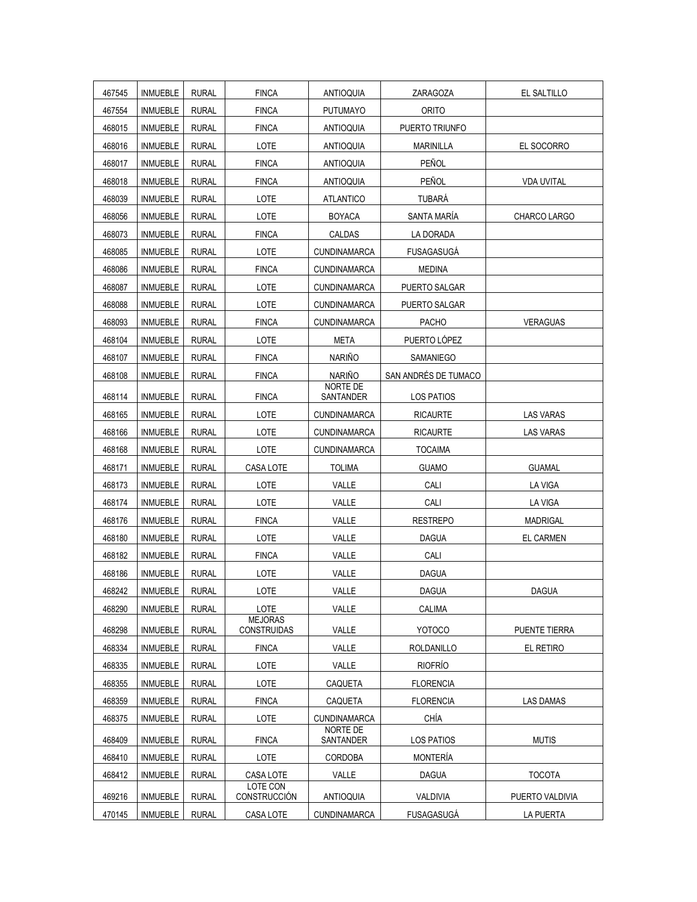| 467545 | INMUEBLE        | <b>RURAL</b> | <b>FINCA</b>                         | <b>ANTIOQUIA</b>             | ZARAGOZA             | EL SALTILLO       |
|--------|-----------------|--------------|--------------------------------------|------------------------------|----------------------|-------------------|
| 467554 | <b>INMUEBLE</b> | <b>RURAL</b> | <b>FINCA</b>                         | <b>PUTUMAYO</b>              | ORITO                |                   |
| 468015 | <b>INMUEBLE</b> | <b>RURAL</b> | <b>FINCA</b>                         | <b>ANTIOQUIA</b>             | PUERTO TRIUNFO       |                   |
| 468016 | <b>INMUEBLE</b> | <b>RURAL</b> | LOTE                                 | <b>ANTIOQUIA</b>             | <b>MARINILLA</b>     | EL SOCORRO        |
| 468017 | <b>INMUEBLE</b> | <b>RURAL</b> | <b>FINCA</b>                         | <b>ANTIOQUIA</b>             | PEÑOL                |                   |
| 468018 | <b>INMUEBLE</b> | <b>RURAL</b> | <b>FINCA</b>                         | <b>ANTIOQUIA</b>             | PEÑOL                | <b>VDA UVITAL</b> |
| 468039 | <b>INMUEBLE</b> | <b>RURAL</b> | LOTE                                 | <b>ATLANTICO</b>             | TUBARÁ               |                   |
| 468056 | <b>INMUEBLE</b> | <b>RURAL</b> | LOTE                                 | <b>BOYACA</b>                | SANTA MARÍA          | CHARCO LARGO      |
| 468073 | <b>INMUEBLE</b> | <b>RURAL</b> | <b>FINCA</b>                         | CALDAS                       | LA DORADA            |                   |
| 468085 | <b>INMUEBLE</b> | <b>RURAL</b> | LOTE                                 | <b>CUNDINAMARCA</b>          | <b>FUSAGASUGA</b>    |                   |
| 468086 | <b>INMUEBLE</b> | <b>RURAL</b> | <b>FINCA</b>                         | <b>CUNDINAMARCA</b>          | <b>MEDINA</b>        |                   |
| 468087 | <b>INMUEBLE</b> | <b>RURAL</b> | LOTE                                 | <b>CUNDINAMARCA</b>          | PUERTO SALGAR        |                   |
| 468088 | <b>INMUEBLE</b> | <b>RURAL</b> | LOTE                                 | <b>CUNDINAMARCA</b>          | PUERTO SALGAR        |                   |
| 468093 | <b>INMUEBLE</b> | <b>RURAL</b> | <b>FINCA</b>                         | <b>CUNDINAMARCA</b>          | <b>PACHO</b>         | <b>VERAGUAS</b>   |
| 468104 | <b>INMUEBLE</b> | <b>RURAL</b> | LOTE                                 | META                         | PUERTO LÓPEZ         |                   |
| 468107 | <b>INMUEBLE</b> | <b>RURAL</b> | <b>FINCA</b>                         | <b>NARIÑO</b>                | <b>SAMANIEGO</b>     |                   |
| 468108 | <b>INMUEBLE</b> | <b>RURAL</b> | <b>FINCA</b>                         | <b>NARIÑO</b>                | SAN ANDRÉS DE TUMACO |                   |
| 468114 | <b>INMUEBLE</b> | <b>RURAL</b> | <b>FINCA</b>                         | NORTE DE<br>SANTANDER        | <b>LOS PATIOS</b>    |                   |
| 468165 | <b>INMUEBLE</b> | <b>RURAL</b> | LOTE                                 | <b>CUNDINAMARCA</b>          | <b>RICAURTE</b>      | <b>LAS VARAS</b>  |
| 468166 | <b>INMUEBLE</b> | <b>RURAL</b> | LOTE                                 | <b>CUNDINAMARCA</b>          | <b>RICAURTE</b>      | <b>LAS VARAS</b>  |
| 468168 | <b>INMUEBLE</b> | <b>RURAL</b> | LOTE                                 | <b>CUNDINAMARCA</b>          | <b>TOCAIMA</b>       |                   |
| 468171 | <b>INMUEBLE</b> | <b>RURAL</b> | CASA LOTE                            | <b>TOLIMA</b>                | <b>GUAMO</b>         | <b>GUAMAL</b>     |
| 468173 | <b>INMUEBLE</b> | <b>RURAL</b> | LOTE                                 | VALLE                        | CALI                 | LA VIGA           |
| 468174 | <b>INMUEBLE</b> | <b>RURAL</b> | LOTE                                 | VALLE                        | CALI                 | LA VIGA           |
| 468176 | <b>INMUEBLE</b> | <b>RURAL</b> | <b>FINCA</b>                         | VALLE                        | <b>RESTREPO</b>      | <b>MADRIGAL</b>   |
| 468180 | <b>INMUEBLE</b> | <b>RURAL</b> | LOTE                                 | VALLE                        | <b>DAGUA</b>         | <b>EL CARMEN</b>  |
| 468182 | <b>INMUEBLE</b> | <b>RURAL</b> | <b>FINCA</b>                         | VALLE                        | CALI                 |                   |
| 468186 | <b>INMUEBLE</b> | <b>RURAL</b> | LOTE                                 | VALLE                        | <b>DAGUA</b>         |                   |
| 468242 | <b>INMUEBLE</b> | <b>RURAL</b> | LOTE                                 | VALLE                        | <b>DAGUA</b>         | <b>DAGUA</b>      |
| 468290 | <b>INMUEBLE</b> | <b>RURAL</b> | LOTE                                 | VALLE                        | <b>CALIMA</b>        |                   |
| 468298 | <b>INMUEBLE</b> | <b>RURAL</b> | <b>MEJORAS</b><br><b>CONSTRUIDAS</b> | VALLE                        | <b>YOTOCO</b>        | PUENTE TIERRA     |
| 468334 | <b>INMUEBLE</b> | <b>RURAL</b> | <b>FINCA</b>                         | VALLE                        | ROLDANILLO           | el retiro         |
| 468335 | <b>INMUEBLE</b> | <b>RURAL</b> | LOTE                                 | VALLE                        | <b>RIOFRÍO</b>       |                   |
| 468355 | <b>INMUEBLE</b> | <b>RURAL</b> | LOTE                                 | CAQUETA                      | <b>FLORENCIA</b>     |                   |
| 468359 | INMUEBLE        | <b>RURAL</b> | <b>FINCA</b>                         | CAQUETA                      | <b>FLORENCIA</b>     | <b>LAS DAMAS</b>  |
| 468375 | <b>INMUEBLE</b> | <b>RURAL</b> | LOTE                                 | <b>CUNDINAMARCA</b>          | CHÍA                 |                   |
| 468409 | <b>INMUEBLE</b> | <b>RURAL</b> | <b>FINCA</b>                         | <b>NORTE DE</b><br>SANTANDER | <b>LOS PATIOS</b>    | <b>MUTIS</b>      |
| 468410 | <b>INMUEBLE</b> | <b>RURAL</b> | LOTE                                 | <b>CORDOBA</b>               | <b>MONTERÍA</b>      |                   |
| 468412 | <b>INMUEBLE</b> | <b>RURAL</b> | CASA LOTE                            | VALLE                        | <b>DAGUA</b>         | <b>TOCOTA</b>     |
| 469216 | <b>INMUEBLE</b> | <b>RURAL</b> | LOTE CON<br>CONSTRUCCIÓN             | <b>ANTIOQUIA</b>             | VALDIVIA             | PUERTO VALDIVIA   |
| 470145 | <b>INMUEBLE</b> | <b>RURAL</b> | CASA LOTE                            | <b>CUNDINAMARCA</b>          | <b>FUSAGASUGA</b>    | <b>LA PUERTA</b>  |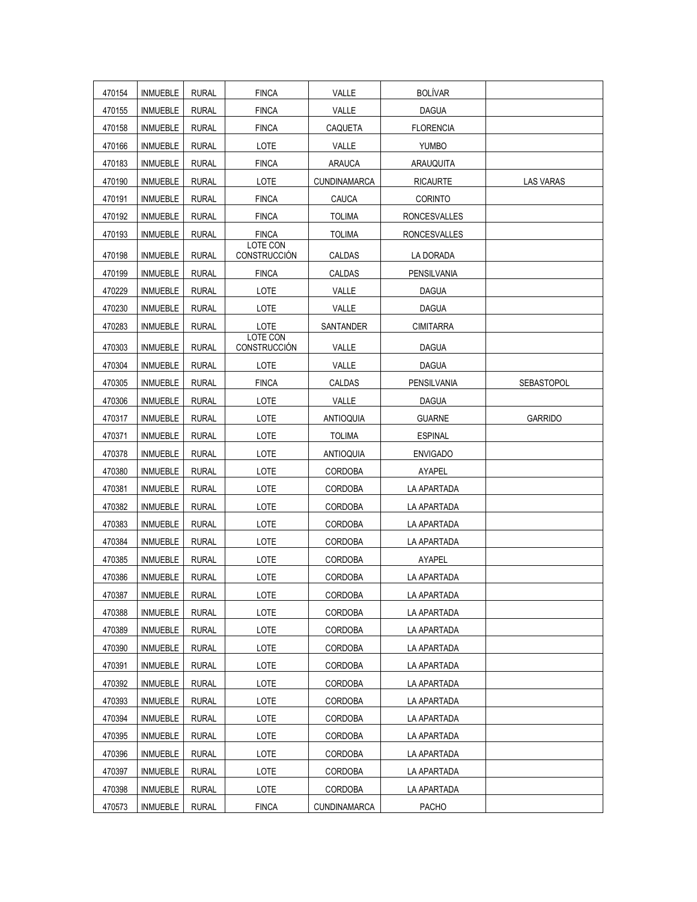| 470154 | <b>INMUEBLE</b> | <b>RURAL</b> | <b>FINCA</b>                    | VALLE               | <b>BOLÍVAR</b>      |                  |
|--------|-----------------|--------------|---------------------------------|---------------------|---------------------|------------------|
| 470155 | <b>INMUEBLE</b> | <b>RURAL</b> | <b>FINCA</b>                    | VALLE               | <b>DAGUA</b>        |                  |
| 470158 | <b>INMUEBLE</b> | <b>RURAL</b> | <b>FINCA</b>                    | CAQUETA             | <b>FLORENCIA</b>    |                  |
| 470166 | <b>INMUEBLE</b> | <b>RURAL</b> | LOTE                            | VALLE               | <b>YUMBO</b>        |                  |
| 470183 | <b>INMUEBLE</b> | <b>RURAL</b> | <b>FINCA</b>                    | <b>ARAUCA</b>       | ARAUQUITA           |                  |
| 470190 | <b>INMUEBLE</b> | <b>RURAL</b> | LOTE                            | <b>CUNDINAMARCA</b> | <b>RICAURTE</b>     | <b>LAS VARAS</b> |
| 470191 | <b>INMUEBLE</b> | <b>RURAL</b> | <b>FINCA</b>                    | CAUCA               | <b>CORINTO</b>      |                  |
| 470192 | <b>INMUEBLE</b> | <b>RURAL</b> | <b>FINCA</b>                    | <b>TOLIMA</b>       | <b>RONCESVALLES</b> |                  |
| 470193 | <b>INMUEBLE</b> | <b>RURAL</b> | <b>FINCA</b>                    | <b>TOLIMA</b>       | <b>RONCESVALLES</b> |                  |
| 470198 | <b>INMUEBLE</b> | <b>RURAL</b> | LOTE CON<br>CONSTRUCCIÓN        | CALDAS              | LA DORADA           |                  |
| 470199 | <b>INMUEBLE</b> | <b>RURAL</b> | <b>FINCA</b>                    | CALDAS              | PENSILVANIA         |                  |
| 470229 | <b>INMUEBLE</b> | <b>RURAL</b> | LOTE                            | VALLE               | <b>DAGUA</b>        |                  |
| 470230 | <b>INMUEBLE</b> | <b>RURAL</b> | LOTE                            | VALLE               | <b>DAGUA</b>        |                  |
| 470283 | <b>INMUEBLE</b> | <b>RURAL</b> | LOTE                            | SANTANDER           | <b>CIMITARRA</b>    |                  |
| 470303 | <b>INMUEBLE</b> | <b>RURAL</b> | LOTE CON<br><b>CONSTRUCCIÓN</b> | VALLE               | <b>DAGUA</b>        |                  |
| 470304 | <b>INMUEBLE</b> | <b>RURAL</b> | LOTE                            | VALLE               | <b>DAGUA</b>        |                  |
| 470305 | <b>INMUEBLE</b> | <b>RURAL</b> | <b>FINCA</b>                    | CALDAS              | PENSILVANIA         | SEBASTOPOL       |
| 470306 | <b>INMUEBLE</b> | <b>RURAL</b> | LOTE                            | VALLE               | DAGUA               |                  |
| 470317 | <b>INMUEBLE</b> | <b>RURAL</b> | LOTE                            | ANTIOQUIA           | <b>GUARNE</b>       | <b>GARRIDO</b>   |
| 470371 | <b>INMUEBLE</b> | <b>RURAL</b> | LOTE                            | <b>TOLIMA</b>       | <b>ESPINAL</b>      |                  |
| 470378 | <b>INMUEBLE</b> | <b>RURAL</b> | LOTE                            | <b>ANTIOQUIA</b>    | <b>ENVIGADO</b>     |                  |
| 470380 | <b>INMUEBLE</b> | <b>RURAL</b> | LOTE                            | <b>CORDOBA</b>      | AYAPEL              |                  |
| 470381 | <b>INMUEBLE</b> | <b>RURAL</b> | LOTE                            | CORDOBA             | LA APARTADA         |                  |
| 470382 | <b>INMUEBLE</b> | <b>RURAL</b> | LOTE                            | <b>CORDOBA</b>      | LA APARTADA         |                  |
| 470383 | <b>INMUEBLE</b> | <b>RURAL</b> | LOTE                            | <b>CORDOBA</b>      | LA APARTADA         |                  |
| 470384 | <b>INMUEBLE</b> | <b>RURAL</b> | LOTE                            | CORDOBA             | LA APARTADA         |                  |
| 470385 | <b>INMUEBLE</b> | <b>RURAL</b> | LOTE                            | <b>CORDOBA</b>      | AYAPEL              |                  |
| 470386 | <b>INMUEBLE</b> | <b>RURAL</b> | LOTE                            | <b>CORDOBA</b>      | LA APARTADA         |                  |
| 470387 | <b>INMUEBLE</b> | <b>RURAL</b> | LOTE                            | CORDOBA             | LA APARTADA         |                  |
| 470388 | <b>INMUEBLE</b> | <b>RURAL</b> | LOTE                            | <b>CORDOBA</b>      | LA APARTADA         |                  |
| 470389 | <b>INMUEBLE</b> | <b>RURAL</b> | LOTE                            | CORDOBA             | LA APARTADA         |                  |
| 470390 | <b>INMUEBLE</b> | <b>RURAL</b> | LOTE                            | CORDOBA             | LA APARTADA         |                  |
| 470391 | <b>INMUEBLE</b> | <b>RURAL</b> | LOTE                            | CORDOBA             | LA APARTADA         |                  |
| 470392 | <b>INMUEBLE</b> | <b>RURAL</b> | LOTE                            | CORDOBA             | LA APARTADA         |                  |
| 470393 | <b>INMUEBLE</b> | <b>RURAL</b> | LOTE                            | CORDOBA             | LA APARTADA         |                  |
| 470394 | <b>INMUEBLE</b> | <b>RURAL</b> | <b>LOTE</b>                     | <b>CORDOBA</b>      | LA APARTADA         |                  |
| 470395 | <b>INMUEBLE</b> | <b>RURAL</b> | LOTE                            | <b>CORDOBA</b>      | LA APARTADA         |                  |
| 470396 | <b>INMUEBLE</b> | <b>RURAL</b> | LOTE                            | CORDOBA             | LA APARTADA         |                  |
| 470397 | <b>INMUEBLE</b> | <b>RURAL</b> | LOTE                            | CORDOBA             | LA APARTADA         |                  |
| 470398 | <b>INMUEBLE</b> | <b>RURAL</b> | LOTE                            | CORDOBA             | LA APARTADA         |                  |
| 470573 | <b>INMUEBLE</b> | <b>RURAL</b> | <b>FINCA</b>                    | CUNDINAMARCA        | PACHO               |                  |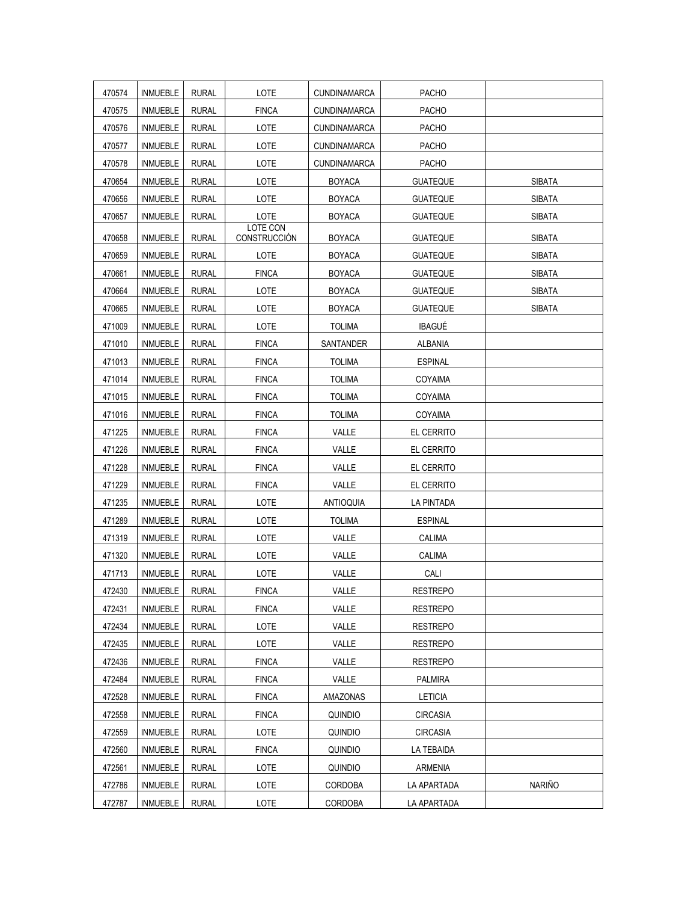| 470574 | <b>INMUEBLE</b> | <b>RURAL</b> | LOTE                     | <b>CUNDINAMARCA</b> | <b>PACHO</b>    |               |
|--------|-----------------|--------------|--------------------------|---------------------|-----------------|---------------|
| 470575 | <b>INMUEBLE</b> | <b>RURAL</b> | <b>FINCA</b>             | <b>CUNDINAMARCA</b> | <b>PACHO</b>    |               |
| 470576 | <b>INMUEBLE</b> | <b>RURAL</b> | LOTE                     | <b>CUNDINAMARCA</b> | PACHO           |               |
| 470577 | <b>INMUEBLE</b> | <b>RURAL</b> | LOTE                     | <b>CUNDINAMARCA</b> | <b>PACHO</b>    |               |
| 470578 | <b>INMUEBLE</b> | <b>RURAL</b> | LOTE                     | <b>CUNDINAMARCA</b> | <b>PACHO</b>    |               |
| 470654 | <b>INMUEBLE</b> | <b>RURAL</b> | LOTE                     | <b>BOYACA</b>       | <b>GUATEQUE</b> | <b>SIBATA</b> |
| 470656 | <b>INMUEBLE</b> | <b>RURAL</b> | LOTE                     | <b>BOYACA</b>       | <b>GUATEQUE</b> | <b>SIBATA</b> |
| 470657 | <b>INMUEBLE</b> | <b>RURAL</b> | LOTE                     | <b>BOYACA</b>       | <b>GUATEQUE</b> | <b>SIBATA</b> |
| 470658 | <b>INMUEBLE</b> | <b>RURAL</b> | LOTE CON<br>CONSTRUCCIÓN | <b>BOYACA</b>       | <b>GUATEQUE</b> | <b>SIBATA</b> |
| 470659 | <b>INMUEBLE</b> | <b>RURAL</b> | LOTE                     | <b>BOYACA</b>       | <b>GUATEQUE</b> | <b>SIBATA</b> |
| 470661 | <b>INMUEBLE</b> | <b>RURAL</b> | <b>FINCA</b>             | <b>BOYACA</b>       | <b>GUATEQUE</b> | <b>SIBATA</b> |
| 470664 | <b>INMUEBLE</b> | <b>RURAL</b> | LOTE                     | <b>BOYACA</b>       | <b>GUATEQUE</b> | <b>SIBATA</b> |
| 470665 | <b>INMUEBLE</b> | <b>RURAL</b> | LOTE                     | <b>BOYACA</b>       | <b>GUATEQUE</b> | <b>SIBATA</b> |
| 471009 | <b>INMUEBLE</b> | <b>RURAL</b> | LOTE                     | <b>TOLIMA</b>       | <b>IBAGUÉ</b>   |               |
| 471010 | <b>INMUEBLE</b> | <b>RURAL</b> | <b>FINCA</b>             | SANTANDER           | <b>ALBANIA</b>  |               |
| 471013 | <b>INMUEBLE</b> | <b>RURAL</b> | <b>FINCA</b>             | <b>TOLIMA</b>       | <b>ESPINAL</b>  |               |
| 471014 | <b>INMUEBLE</b> | <b>RURAL</b> | <b>FINCA</b>             | <b>TOLIMA</b>       | COYAIMA         |               |
| 471015 | <b>INMUEBLE</b> | <b>RURAL</b> | <b>FINCA</b>             | <b>TOLIMA</b>       | COYAIMA         |               |
| 471016 | <b>INMUEBLE</b> | <b>RURAL</b> | <b>FINCA</b>             | <b>TOLIMA</b>       | COYAIMA         |               |
| 471225 | <b>INMUEBLE</b> | <b>RURAL</b> | <b>FINCA</b>             | VALLE               | EL CERRITO      |               |
| 471226 | <b>INMUEBLE</b> | <b>RURAL</b> | <b>FINCA</b>             | VALLE               | EL CERRITO      |               |
| 471228 | <b>INMUEBLE</b> | <b>RURAL</b> | <b>FINCA</b>             | VALLE               | EL CERRITO      |               |
| 471229 | <b>INMUEBLE</b> | <b>RURAL</b> | <b>FINCA</b>             | VALLE               | EL CERRITO      |               |
| 471235 | <b>INMUEBLE</b> | <b>RURAL</b> | LOTE                     | <b>ANTIOQUIA</b>    | LA PINTADA      |               |
| 471289 | <b>INMUEBLE</b> | <b>RURAL</b> | LOTE                     | <b>TOLIMA</b>       | <b>ESPINAL</b>  |               |
| 471319 | <b>INMUEBLE</b> | <b>RURAL</b> | LOTE                     | VALLE               | CALIMA          |               |
| 471320 | <b>INMUEBLE</b> | <b>RURAL</b> | LOTE                     | VALLE               | CALIMA          |               |
| 471713 | <b>INMUEBLE</b> | <b>RURAL</b> | LOTE                     | VALLE               | CALI            |               |
| 472430 | INMUEBLE        | <b>RURAL</b> | <b>FINCA</b>             | VALLE               | <b>RESTREPO</b> |               |
| 472431 | <b>INMUEBLE</b> | <b>RURAL</b> | <b>FINCA</b>             | VALLE               | <b>RESTREPO</b> |               |
| 472434 | INMUEBLE        | RURAL        | <b>LOTE</b>              | VALLE               | <b>RESTREPO</b> |               |
| 472435 | <b>INMUEBLE</b> | <b>RURAL</b> | LOTE                     | VALLE               | <b>RESTREPO</b> |               |
| 472436 | <b>INMUEBLE</b> | <b>RURAL</b> | <b>FINCA</b>             | VALLE               | <b>RESTREPO</b> |               |
| 472484 | <b>INMUEBLE</b> | <b>RURAL</b> | <b>FINCA</b>             | VALLE               | PALMIRA         |               |
| 472528 | <b>INMUEBLE</b> | <b>RURAL</b> | <b>FINCA</b>             | AMAZONAS            | <b>LETICIA</b>  |               |
| 472558 | INMUEBLE        | <b>RURAL</b> | <b>FINCA</b>             | QUINDIO             | CIRCASIA        |               |
| 472559 | <b>INMUEBLE</b> | <b>RURAL</b> | LOTE                     | QUINDIO             | <b>CIRCASIA</b> |               |
| 472560 | <b>INMUEBLE</b> | RURAL        | <b>FINCA</b>             | QUINDIO             | LA TEBAIDA      |               |
| 472561 | <b>INMUEBLE</b> | <b>RURAL</b> | LOTE                     | QUINDIO             | ARMENIA         |               |
| 472786 | <b>INMUEBLE</b> | <b>RURAL</b> | LOTE                     | <b>CORDOBA</b>      | LA APARTADA     | <b>NARIÑO</b> |
| 472787 | <b>INMUEBLE</b> | <b>RURAL</b> | LOTE                     | CORDOBA             | LA APARTADA     |               |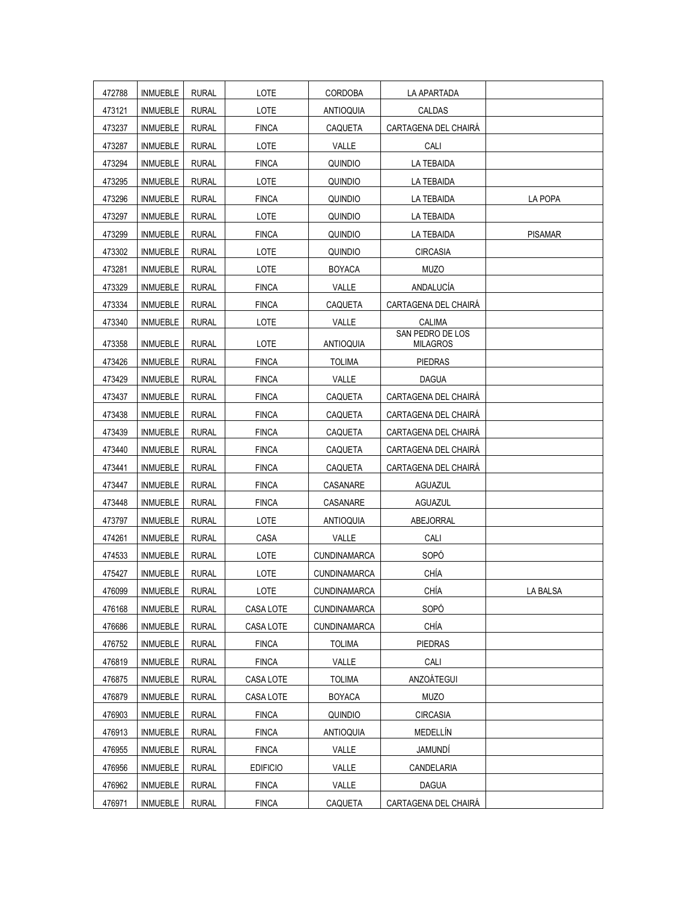| 472788 | <b>INMUEBLE</b> | <b>RURAL</b> | LOTE            | <b>CORDOBA</b>      | LA APARTADA                         |                |
|--------|-----------------|--------------|-----------------|---------------------|-------------------------------------|----------------|
| 473121 | INMUEBLE        | <b>RURAL</b> | LOTE            | <b>ANTIOQUIA</b>    | <b>CALDAS</b>                       |                |
| 473237 | <b>INMUEBLE</b> | <b>RURAL</b> | <b>FINCA</b>    | CAQUETA             | CARTAGENA DEL CHAIRÁ                |                |
| 473287 | <b>INMUEBLE</b> | <b>RURAL</b> | <b>LOTE</b>     | VALLE               | CALI                                |                |
| 473294 | INMUEBLE        | <b>RURAL</b> | <b>FINCA</b>    | <b>QUINDIO</b>      | <b>LA TEBAIDA</b>                   |                |
| 473295 | <b>INMUEBLE</b> | <b>RURAL</b> | LOTE            | QUINDIO             | LA TEBAIDA                          |                |
| 473296 | <b>INMUEBLE</b> | <b>RURAL</b> | <b>FINCA</b>    | QUINDIO             | LA TEBAIDA                          | LA POPA        |
| 473297 | <b>INMUEBLE</b> | <b>RURAL</b> | LOTE            | QUINDIO             | LA TEBAIDA                          |                |
| 473299 | <b>INMUEBLE</b> | <b>RURAL</b> | <b>FINCA</b>    | QUINDIO             | LA TEBAIDA                          | <b>PISAMAR</b> |
| 473302 | <b>INMUEBLE</b> | <b>RURAL</b> | LOTE            | <b>QUINDIO</b>      | <b>CIRCASIA</b>                     |                |
| 473281 | <b>INMUEBLE</b> | <b>RURAL</b> | LOTE            | <b>BOYACA</b>       | <b>MUZO</b>                         |                |
| 473329 | INMUEBLE        | <b>RURAL</b> | <b>FINCA</b>    | VALLE               | ANDALUCÍA                           |                |
| 473334 | <b>INMUEBLE</b> | <b>RURAL</b> | <b>FINCA</b>    | CAQUETA             | CARTAGENA DEL CHAIRÁ                |                |
| 473340 | <b>INMUEBLE</b> | <b>RURAL</b> | LOTE            | VALLE               | CALIMA                              |                |
| 473358 | <b>INMUEBLE</b> | <b>RURAL</b> | LOTE            | <b>ANTIOQUIA</b>    | SAN PEDRO DE LOS<br><b>MILAGROS</b> |                |
| 473426 | INMUEBLE        | <b>RURAL</b> | <b>FINCA</b>    | <b>TOLIMA</b>       | <b>PIEDRAS</b>                      |                |
| 473429 | <b>INMUEBLE</b> | <b>RURAL</b> | <b>FINCA</b>    | VALLE               | <b>DAGUA</b>                        |                |
| 473437 | <b>INMUEBLE</b> | <b>RURAL</b> | <b>FINCA</b>    | CAQUETA             | CARTAGENA DEL CHAIRÁ                |                |
| 473438 | <b>INMUEBLE</b> | <b>RURAL</b> | <b>FINCA</b>    | CAQUETA             | CARTAGENA DEL CHAIRÀ                |                |
| 473439 | <b>INMUEBLE</b> | <b>RURAL</b> | <b>FINCA</b>    | CAQUETA             | CARTAGENA DEL CHAIRÁ                |                |
| 473440 | <b>INMUEBLE</b> | <b>RURAL</b> | <b>FINCA</b>    | CAQUETA             | CARTAGENA DEL CHAIRÁ                |                |
| 473441 | <b>INMUEBLE</b> | <b>RURAL</b> | <b>FINCA</b>    | CAQUETA             | CARTAGENA DEL CHAIRÀ                |                |
| 473447 | <b>INMUEBLE</b> | <b>RURAL</b> | <b>FINCA</b>    | CASANARE            | <b>AGUAZUL</b>                      |                |
| 473448 | <b>INMUEBLE</b> | <b>RURAL</b> | <b>FINCA</b>    | CASANARE            | <b>AGUAZUL</b>                      |                |
| 473797 | <b>INMUEBLE</b> | <b>RURAL</b> | LOTE            | <b>ANTIOQUIA</b>    | ABEJORRAL                           |                |
| 474261 | <b>INMUEBLE</b> | <b>RURAL</b> | CASA            | VALLE               | CALI                                |                |
| 474533 | <b>INMUEBLE</b> | <b>RURAL</b> | LOTE            | <b>CUNDINAMARCA</b> | SOPÓ                                |                |
| 475427 | <b>INMUEBLE</b> | <b>RURAL</b> | LOTE            | <b>CUNDINAMARCA</b> | CHÍA                                |                |
| 476099 | <b>INMUEBLE</b> | <b>RURAL</b> | LOTE            | CUNDINAMARCA        | CHÍA                                | LA BALSA       |
| 476168 | <b>INMUEBLE</b> | <b>RURAL</b> | CASA LOTE       | CUNDINAMARCA        | SOPÓ                                |                |
| 476686 | INMUEBLE        | <b>RURAL</b> | CASA LOTE       | <b>CUNDINAMARCA</b> | CHÍA                                |                |
| 476752 | <b>INMUEBLE</b> | <b>RURAL</b> | <b>FINCA</b>    | <b>TOLIMA</b>       | <b>PIEDRAS</b>                      |                |
| 476819 | INMUEBLE        | <b>RURAL</b> | <b>FINCA</b>    | VALLE               | CALI                                |                |
| 476875 | <b>INMUEBLE</b> | <b>RURAL</b> | CASA LOTE       | <b>TOLIMA</b>       | ANZOÁTEGUI                          |                |
| 476879 | <b>INMUEBLE</b> | <b>RURAL</b> | CASA LOTE       | <b>BOYACA</b>       | <b>MUZO</b>                         |                |
| 476903 | <b>INMUEBLE</b> | <b>RURAL</b> | <b>FINCA</b>    | <b>QUINDIO</b>      | <b>CIRCASIA</b>                     |                |
| 476913 | <b>INMUEBLE</b> | <b>RURAL</b> | <b>FINCA</b>    | <b>ANTIOQUIA</b>    | MEDELLÍN                            |                |
| 476955 | <b>INMUEBLE</b> | <b>RURAL</b> | <b>FINCA</b>    | VALLE               | JAMUNDÍ                             |                |
| 476956 | INMUEBLE        | <b>RURAL</b> | <b>EDIFICIO</b> | VALLE               | CANDELARIA                          |                |
| 476962 | <b>INMUEBLE</b> | <b>RURAL</b> | <b>FINCA</b>    | VALLE               | <b>DAGUA</b>                        |                |
| 476971 | <b>INMUEBLE</b> | <b>RURAL</b> | <b>FINCA</b>    | CAQUETA             | CARTAGENA DEL CHAIRÁ                |                |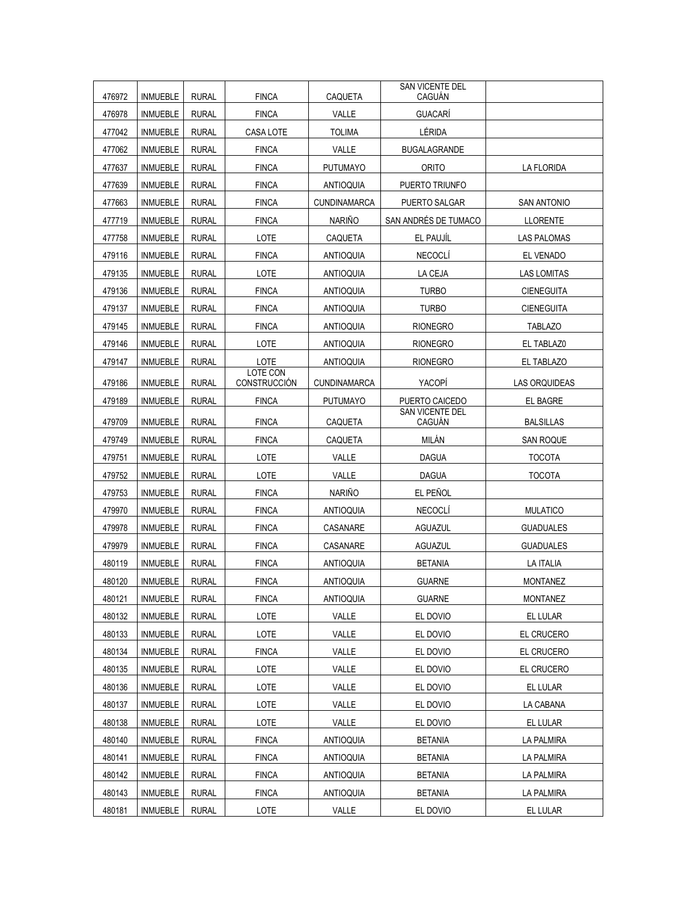| 476972 | <b>INMUEBLE</b> | <b>RURAL</b> | <b>FINCA</b>                    | CAQUETA             | SAN VICENTE DEL<br>CAGUÁN        |                      |
|--------|-----------------|--------------|---------------------------------|---------------------|----------------------------------|----------------------|
| 476978 | <b>INMUEBLE</b> | <b>RURAL</b> | <b>FINCA</b>                    | VALLE               | <b>GUACARÍ</b>                   |                      |
| 477042 | <b>INMUEBLE</b> | <b>RURAL</b> | <b>CASA LOTE</b>                | <b>TOLIMA</b>       | LÉRIDA                           |                      |
| 477062 | <b>INMUEBLE</b> | <b>RURAL</b> | <b>FINCA</b>                    | VALLE               | <b>BUGALAGRANDE</b>              |                      |
| 477637 | <b>INMUEBLE</b> | <b>RURAL</b> | <b>FINCA</b>                    | <b>PUTUMAYO</b>     | <b>ORITO</b>                     | <b>LA FLORIDA</b>    |
| 477639 | <b>INMUEBLE</b> | <b>RURAL</b> | <b>FINCA</b>                    | <b>ANTIOQUIA</b>    | PUERTO TRIUNFO                   |                      |
| 477663 | <b>INMUEBLE</b> | <b>RURAL</b> | <b>FINCA</b>                    | CUNDINAMARCA        | PUERTO SALGAR                    | <b>SAN ANTONIO</b>   |
| 477719 | <b>INMUEBLE</b> | <b>RURAL</b> | <b>FINCA</b>                    | <b>NARIÑO</b>       | SAN ANDRÉS DE TUMACO             | <b>LLORENTE</b>      |
| 477758 | <b>INMUEBLE</b> | <b>RURAL</b> | LOTE                            | <b>CAQUETA</b>      | EL PAUJÍL                        | <b>LAS PALOMAS</b>   |
| 479116 | <b>INMUEBLE</b> | <b>RURAL</b> | <b>FINCA</b>                    | <b>ANTIOQUIA</b>    | <b>NECOCLÍ</b>                   | EL VENADO            |
| 479135 | <b>INMUEBLE</b> | <b>RURAL</b> | LOTE                            | <b>ANTIOQUIA</b>    | LA CEJA                          | <b>LAS LOMITAS</b>   |
| 479136 | <b>INMUEBLE</b> | <b>RURAL</b> | <b>FINCA</b>                    | <b>ANTIOQUIA</b>    | <b>TURBO</b>                     | <b>CIENEGUITA</b>    |
| 479137 | <b>INMUEBLE</b> | <b>RURAL</b> | <b>FINCA</b>                    | <b>ANTIOQUIA</b>    | <b>TURBO</b>                     | <b>CIENEGUITA</b>    |
| 479145 | <b>INMUEBLE</b> | <b>RURAL</b> | <b>FINCA</b>                    | <b>ANTIOQUIA</b>    | <b>RIONEGRO</b>                  | <b>TABLAZO</b>       |
| 479146 | <b>INMUEBLE</b> | <b>RURAL</b> | LOTE                            | <b>ANTIOQUIA</b>    | <b>RIONEGRO</b>                  | EL TABLAZ0           |
| 479147 | <b>INMUEBLE</b> | <b>RURAL</b> | LOTE                            | <b>ANTIOQUIA</b>    | <b>RIONEGRO</b>                  | EL TABLAZO           |
| 479186 | <b>INMUEBLE</b> | <b>RURAL</b> | <b>LOTE CON</b><br>CONSTRUCCIÓN | <b>CUNDINAMARCA</b> | YACOPI                           | <b>LAS ORQUIDEAS</b> |
| 479189 | <b>INMUEBLE</b> | <b>RURAL</b> | <b>FINCA</b>                    | <b>PUTUMAYO</b>     | PUERTO CAICEDO                   | EL BAGRE             |
| 479709 | <b>INMUEBLE</b> | <b>RURAL</b> | <b>FINCA</b>                    | CAQUETA             | <b>SAN VICENTE DEL</b><br>CAGUÁN | <b>BALSILLAS</b>     |
| 479749 | <b>INMUEBLE</b> | <b>RURAL</b> | <b>FINCA</b>                    | CAQUETA             | MILÁN                            | <b>SAN ROQUE</b>     |
| 479751 | <b>INMUEBLE</b> | <b>RURAL</b> | LOTE                            | VALLE               | <b>DAGUA</b>                     | <b>TOCOTA</b>        |
| 479752 | <b>INMUEBLE</b> | <b>RURAL</b> | LOTE                            | VALLE               | <b>DAGUA</b>                     | <b>TOCOTA</b>        |
| 479753 | <b>INMUEBLE</b> | <b>RURAL</b> | <b>FINCA</b>                    | <b>NARIÑO</b>       | EL PEÑOL                         |                      |
| 479970 | <b>INMUEBLE</b> | <b>RURAL</b> | <b>FINCA</b>                    | <b>ANTIOQUIA</b>    | <b>NECOCLÍ</b>                   | <b>MULATICO</b>      |
| 479978 | <b>INMUEBLE</b> | <b>RURAL</b> | <b>FINCA</b>                    | CASANARE            | AGUAZUL                          | <b>GUADUALES</b>     |
| 479979 | <b>INMUEBLE</b> | <b>RURAL</b> | <b>FINCA</b>                    | CASANARE            | AGUAZUL                          | <b>GUADUALES</b>     |
| 480119 | <b>INMUEBLE</b> | <b>RURAL</b> | <b>FINCA</b>                    | <b>ANTIOQUIA</b>    | <b>BETANIA</b>                   | <b>LA ITALIA</b>     |
| 480120 | <b>INMUEBLE</b> | <b>RURAL</b> | <b>FINCA</b>                    | <b>ANTIOQUIA</b>    | <b>GUARNE</b>                    | <b>MONTANEZ</b>      |
| 480121 | <b>INMUEBLE</b> | <b>RURAL</b> | <b>FINCA</b>                    | ANTIOQUIA           | <b>GUARNE</b>                    | <b>MONTANEZ</b>      |
| 480132 | <b>INMUEBLE</b> | <b>RURAL</b> | LOTE                            | VALLE               | EL DOVIO                         | EL LULAR             |
| 480133 | <b>INMUEBLE</b> | <b>RURAL</b> | LOTE                            | VALLE               | EL DOVIO                         | EL CRUCERO           |
| 480134 | <b>INMUEBLE</b> | <b>RURAL</b> | <b>FINCA</b>                    | VALLE               | EL DOVIO                         | EL CRUCERO           |
| 480135 | <b>INMUEBLE</b> | <b>RURAL</b> | LOTE                            | VALLE               | EL DOVIO                         | EL CRUCERO           |
| 480136 | <b>INMUEBLE</b> | <b>RURAL</b> | LOTE                            | VALLE               | EL DOVIO                         | EL LULAR             |
| 480137 | <b>INMUEBLE</b> | <b>RURAL</b> | LOTE                            | VALLE               | EL DOVIO                         | LA CABANA            |
| 480138 | INMUEBLE        | RURAL        | LOTE                            | VALLE               | EL DOVIO                         | EL LULAR             |
| 480140 | <b>INMUEBLE</b> | <b>RURAL</b> | <b>FINCA</b>                    | <b>ANTIOQUIA</b>    | <b>BETANIA</b>                   | <b>LA PALMIRA</b>    |
| 480141 | <b>INMUEBLE</b> | <b>RURAL</b> | <b>FINCA</b>                    | ANTIOQUIA           | <b>BETANIA</b>                   | <b>LA PALMIRA</b>    |
| 480142 | <b>INMUEBLE</b> | <b>RURAL</b> | <b>FINCA</b>                    | <b>ANTIOQUIA</b>    | <b>BETANIA</b>                   | LA PALMIRA           |
| 480143 | <b>INMUEBLE</b> | <b>RURAL</b> | <b>FINCA</b>                    | <b>ANTIOQUIA</b>    | <b>BETANIA</b>                   | LA PALMIRA           |
| 480181 | <b>INMUEBLE</b> | <b>RURAL</b> | LOTE                            | VALLE               | EL DOVIO                         | EL LULAR             |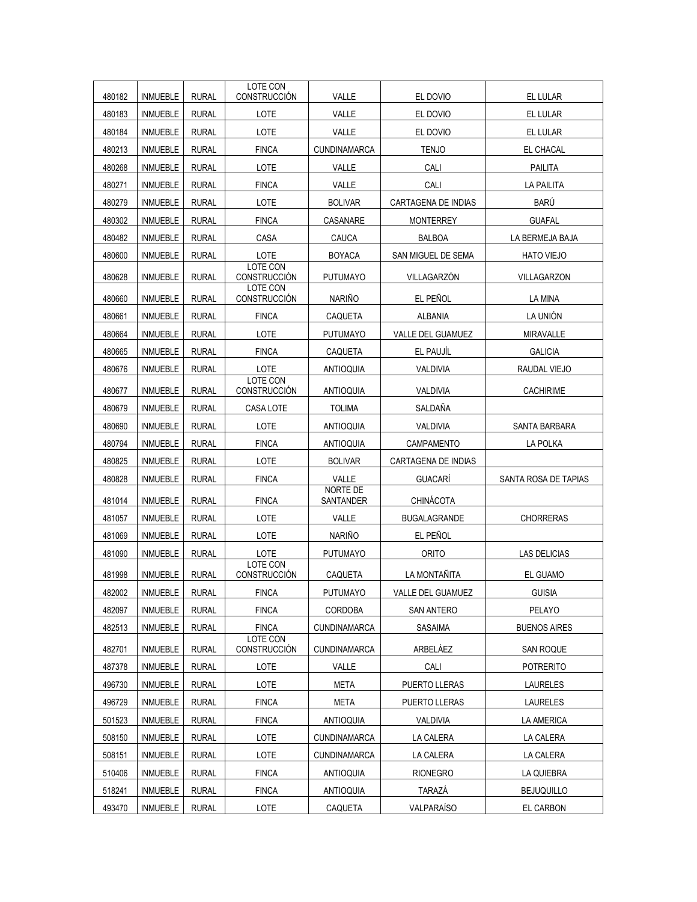| 480182 | <b>INMUEBLE</b> | <b>RURAL</b> | LOTE CON<br>CONSTRUCCIÓN               | VALLE                        | EL DOVIO            | EL LULAR             |
|--------|-----------------|--------------|----------------------------------------|------------------------------|---------------------|----------------------|
| 480183 | <b>INMUEBLE</b> | <b>RURAL</b> | LOTE                                   | VALLE                        | EL DOVIO            | <b>EL LULAR</b>      |
| 480184 | <b>INMUEBLE</b> | <b>RURAL</b> | LOTE                                   | VALLE                        | EL DOVIO            | EL LULAR             |
| 480213 | <b>INMUEBLE</b> | <b>RURAL</b> | <b>FINCA</b>                           | <b>CUNDINAMARCA</b>          | <b>TENJO</b>        | EL CHACAL            |
| 480268 | <b>INMUEBLE</b> | <b>RURAL</b> | LOTE                                   | VALLE                        | CALI                | <b>PAILITA</b>       |
| 480271 | <b>INMUEBLE</b> | <b>RURAL</b> | <b>FINCA</b>                           | VALLE                        | CALI                | <b>LA PAILITA</b>    |
| 480279 | <b>INMUEBLE</b> | <b>RURAL</b> | LOTE                                   | <b>BOLIVAR</b>               | CARTAGENA DE INDIAS | BARÚ                 |
| 480302 | <b>INMUEBLE</b> | <b>RURAL</b> | <b>FINCA</b>                           | CASANARE                     | <b>MONTERREY</b>    | <b>GUAFAL</b>        |
| 480482 | <b>INMUEBLE</b> | <b>RURAL</b> | CASA                                   | CAUCA                        | <b>BALBOA</b>       | LA BERMEJA BAJA      |
| 480600 | <b>INMUEBLE</b> | <b>RURAL</b> | LOTE                                   | <b>BOYACA</b>                | SAN MIGUEL DE SEMA  | <b>HATO VIEJO</b>    |
|        |                 |              | LOTE CON                               |                              |                     |                      |
| 480628 | <b>INMUEBLE</b> | <b>RURAL</b> | CONSTRUCCIÓN<br>LOTE CON               | <b>PUTUMAYO</b>              | VILLAGARZÓN         | VILLAGARZON          |
| 480660 | <b>INMUEBLE</b> | <b>RURAL</b> | CONSTRUCCIÓN                           | <b>NARIÑO</b>                | EL PEÑOL            | LA MINA              |
| 480661 | <b>INMUEBLE</b> | <b>RURAL</b> | <b>FINCA</b>                           | CAQUETA                      | <b>ALBANIA</b>      | LA UNIÓN             |
| 480664 | <b>INMUEBLE</b> | <b>RURAL</b> | LOTE                                   | <b>PUTUMAYO</b>              | VALLE DEL GUAMUEZ   | <b>MIRAVALLE</b>     |
| 480665 | <b>INMUEBLE</b> | <b>RURAL</b> | <b>FINCA</b>                           | CAQUETA                      | EL PAUJÍL           | <b>GALICIA</b>       |
| 480676 | <b>INMUEBLE</b> | <b>RURAL</b> | LOTE                                   | <b>ANTIOQUIA</b>             | VALDIVIA            | RAUDAL VIEJO         |
| 480677 | <b>INMUEBLE</b> | <b>RURAL</b> | LOTE CON<br>CONSTRUCCIÓN               | <b>ANTIOQUIA</b>             | VALDIVIA            | <b>CACHIRIME</b>     |
| 480679 | <b>INMUEBLE</b> | <b>RURAL</b> | CASA LOTE                              | <b>TOLIMA</b>                | SALDAÑA             |                      |
| 480690 | <b>INMUEBLE</b> | <b>RURAL</b> | LOTE                                   | <b>ANTIOQUIA</b>             | VALDIVIA            | SANTA BARBARA        |
| 480794 | <b>INMUEBLE</b> | <b>RURAL</b> | <b>FINCA</b>                           | <b>ANTIOQUIA</b>             | CAMPAMENTO          | LA POLKA             |
| 480825 | <b>INMUEBLE</b> | <b>RURAL</b> | LOTE                                   | <b>BOLIVAR</b>               | CARTAGENA DE INDIAS |                      |
| 480828 | <b>INMUEBLE</b> | <b>RURAL</b> | <b>FINCA</b>                           | VALLE                        | GUACARÍ             | SANTA ROSA DE TAPIAS |
| 481014 | <b>INMUEBLE</b> | <b>RURAL</b> | <b>FINCA</b>                           | <b>NORTE DE</b><br>SANTANDER | CHINÁCOTA           |                      |
| 481057 | <b>INMUEBLE</b> | <b>RURAL</b> | LOTE                                   | VALLE                        | <b>BUGALAGRANDE</b> | <b>CHORRERAS</b>     |
| 481069 | <b>INMUEBLE</b> | <b>RURAL</b> | LOTE                                   | <b>NARIÑO</b>                | EL PEÑOL            |                      |
| 481090 | <b>INMUEBLE</b> | <b>RURAL</b> | LOTE                                   | <b>PUTUMAYO</b>              | <b>ORITO</b>        | <b>LAS DELICIAS</b>  |
| 481998 | <b>INMUEBLE</b> | <b>RURAL</b> | <b>LOTE CON</b><br><b>CONSTRUCCIÓN</b> | CAQUETA                      | LA MONTAÑITA        | EL GUAMO             |
| 482002 | <b>INMUEBLE</b> | <b>RURAL</b> | <b>FINCA</b>                           | PUTUMAYO                     | VALLE DEL GUAMUEZ   | <b>GUISIA</b>        |
| 482097 | <b>INMUEBLE</b> | <b>RURAL</b> | <b>FINCA</b>                           | CORDOBA                      | SAN ANTERO          | PELAYO               |
| 482513 | <b>INMUEBLE</b> | <b>RURAL</b> | <b>FINCA</b>                           | <b>CUNDINAMARCA</b>          | SASAIMA             | <b>BUENOS AIRES</b>  |
|        |                 |              | LOTE CON                               |                              |                     |                      |
| 482701 | INMUEBLE        | <b>RURAL</b> | CONSTRUCCIÓN                           | <b>CUNDINAMARCA</b>          | ARBELÁEZ            | <b>SAN ROQUE</b>     |
| 487378 | INMUEBLE        | <b>RURAL</b> | LOTE                                   | VALLE                        | CALI                | <b>POTRERITO</b>     |
| 496730 | <b>INMUEBLE</b> | <b>RURAL</b> | LOTE                                   | META                         | PUERTO LLERAS       | <b>LAURELES</b>      |
| 496729 | <b>INMUEBLE</b> | <b>RURAL</b> | <b>FINCA</b>                           | <b>META</b>                  | PUERTO LLERAS       | <b>LAURELES</b>      |
| 501523 | <b>INMUEBLE</b> | <b>RURAL</b> | <b>FINCA</b>                           | <b>ANTIOQUIA</b>             | VALDIVIA            | <b>LA AMERICA</b>    |
| 508150 | INMUEBLE        | <b>RURAL</b> | LOTE                                   | <b>CUNDINAMARCA</b>          | LA CALERA           | LA CALERA            |
| 508151 | <b>INMUEBLE</b> | <b>RURAL</b> | LOTE                                   | CUNDINAMARCA                 | LA CALERA           | LA CALERA            |
| 510406 | <b>INMUEBLE</b> | <b>RURAL</b> | <b>FINCA</b>                           | <b>ANTIOQUIA</b>             | <b>RIONEGRO</b>     | LA QUIEBRA           |
| 518241 | INMUEBLE        | <b>RURAL</b> | <b>FINCA</b>                           | <b>ANTIOQUIA</b>             | TARAZÁ              | <b>BEJUQUILLO</b>    |
| 493470 | <b>INMUEBLE</b> | <b>RURAL</b> | LOTE                                   | CAQUETA                      | VALPARAÍSO          | EL CARBON            |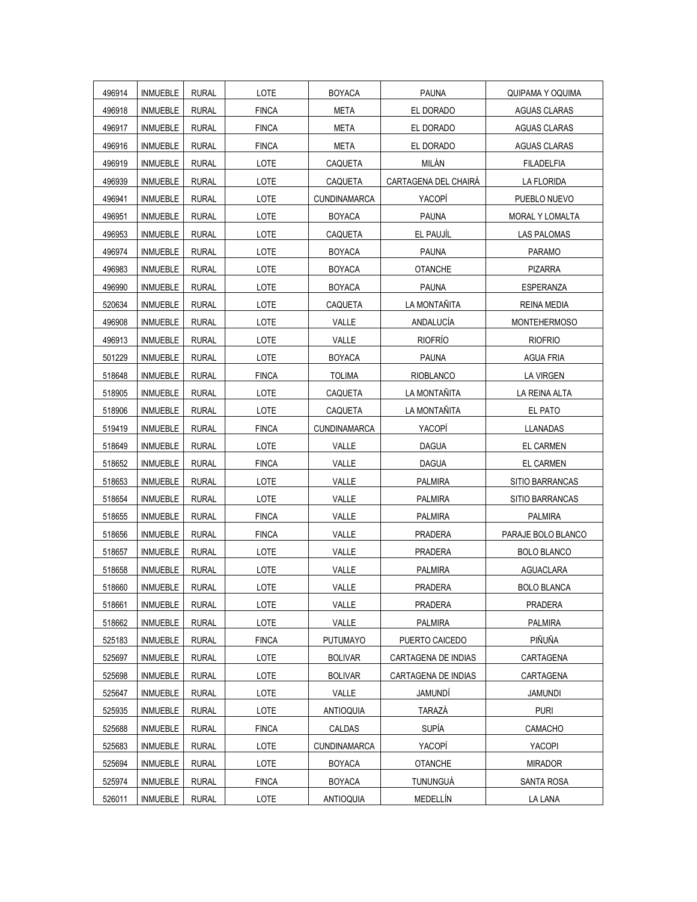| 496914 | <b>INMUEBLE</b> | <b>RURAL</b> | LOTE         | <b>BOYACA</b>       | <b>PAUNA</b>         | QUIPAMA Y OQUIMA    |
|--------|-----------------|--------------|--------------|---------------------|----------------------|---------------------|
| 496918 | <b>INMUEBLE</b> | <b>RURAL</b> | <b>FINCA</b> | <b>META</b>         | EL DORADO            | <b>AGUAS CLARAS</b> |
| 496917 | <b>INMUEBLE</b> | <b>RURAL</b> | <b>FINCA</b> | META                | EL DORADO            | <b>AGUAS CLARAS</b> |
| 496916 | <b>INMUEBLE</b> | <b>RURAL</b> | <b>FINCA</b> | <b>META</b>         | EL DORADO            | <b>AGUAS CLARAS</b> |
| 496919 | <b>INMUEBLE</b> | <b>RURAL</b> | LOTE         | CAQUETA             | MILÁN                | <b>FILADELFIA</b>   |
| 496939 | <b>INMUEBLE</b> | <b>RURAL</b> | LOTE         | CAQUETA             | CARTAGENA DEL CHAIRÁ | LA FLORIDA          |
| 496941 | <b>INMUEBLE</b> | <b>RURAL</b> | LOTE         | <b>CUNDINAMARCA</b> | YACOPÍ               | PUEBLO NUEVO        |
| 496951 | INMUEBLE        | <b>RURAL</b> | LOTE         | <b>BOYACA</b>       | <b>PAUNA</b>         | MORAL Y LOMALTA     |
| 496953 | <b>INMUEBLE</b> | <b>RURAL</b> | LOTE         | <b>CAQUETA</b>      | EL PAUJÍL            | <b>LAS PALOMAS</b>  |
| 496974 | <b>INMUEBLE</b> | <b>RURAL</b> | LOTE         | <b>BOYACA</b>       | <b>PAUNA</b>         | <b>PARAMO</b>       |
| 496983 | <b>INMUEBLE</b> | <b>RURAL</b> | LOTE         | <b>BOYACA</b>       | <b>OTANCHE</b>       | <b>PIZARRA</b>      |
| 496990 | <b>INMUEBLE</b> | <b>RURAL</b> | LOTE         | <b>BOYACA</b>       | <b>PAUNA</b>         | <b>ESPERANZA</b>    |
| 520634 | <b>INMUEBLE</b> | <b>RURAL</b> | LOTE         | CAQUETA             | LA MONTAÑITA         | <b>REINA MEDIA</b>  |
| 496908 | <b>INMUEBLE</b> | <b>RURAL</b> | LOTE         | VALLE               | ANDALUCÍA            | <b>MONTEHERMOSO</b> |
| 496913 | INMUEBLE        | <b>RURAL</b> | LOTE         | VALLE               | <b>RIOFRÍO</b>       | <b>RIOFRIO</b>      |
| 501229 | <b>INMUEBLE</b> | <b>RURAL</b> | LOTE         | <b>BOYACA</b>       | <b>PAUNA</b>         | <b>AGUA FRIA</b>    |
| 518648 | <b>INMUEBLE</b> | <b>RURAL</b> | <b>FINCA</b> | <b>TOLIMA</b>       | <b>RIOBLANCO</b>     | <b>LA VIRGEN</b>    |
| 518905 | <b>INMUEBLE</b> | <b>RURAL</b> | LOTE         | CAQUETA             | LA MONTAÑITA         | LA REINA ALTA       |
| 518906 | <b>INMUEBLE</b> | <b>RURAL</b> | LOTE         | CAQUETA             | LA MONTAÑITA         | EL PATO             |
| 519419 | <b>INMUEBLE</b> | <b>RURAL</b> | <b>FINCA</b> | <b>CUNDINAMARCA</b> | YACOPÍ               | <b>LLANADAS</b>     |
| 518649 | <b>INMUEBLE</b> | <b>RURAL</b> | LOTE         | VALLE               | <b>DAGUA</b>         | <b>EL CARMEN</b>    |
| 518652 | <b>INMUEBLE</b> | <b>RURAL</b> | <b>FINCA</b> | VALLE               | DAGUA                | EL CARMEN           |
| 518653 | <b>INMUEBLE</b> | <b>RURAL</b> | LOTE         | VALLE               | PALMIRA              | SITIO BARRANCAS     |
| 518654 | <b>INMUEBLE</b> | <b>RURAL</b> | LOTE         | VALLE               | <b>PALMIRA</b>       | SITIO BARRANCAS     |
| 518655 | INMUEBLE        | <b>RURAL</b> | <b>FINCA</b> | VALLE               | <b>PALMIRA</b>       | <b>PALMIRA</b>      |
| 518656 | <b>INMUEBLE</b> | <b>RURAL</b> | <b>FINCA</b> | VALLE               | <b>PRADERA</b>       | PARAJE BOLO BLANCO  |
| 518657 | <b>INMUEBLE</b> | <b>RURAL</b> | LOTE         | VALLE               | <b>PRADERA</b>       | <b>BOLO BLANCO</b>  |
| 518658 | <b>INMUEBLE</b> | <b>RURAL</b> | LOTE         | VALLE               | <b>PALMIRA</b>       | <b>AGUACLARA</b>    |
| 518660 | <b>INMUEBLE</b> | <b>RURAL</b> | LOTE         | VALLE               | PRADERA              | <b>BOLO BLANCA</b>  |
| 518661 | <b>INMUEBLE</b> | <b>RURAL</b> | LOTE         | VALLE               | <b>PRADERA</b>       | PRADERA             |
| 518662 | <b>INMUEBLE</b> | <b>RURAL</b> | LOTE         | VALLE               | <b>PALMIRA</b>       | <b>PALMIRA</b>      |
| 525183 | INMUEBLE        | <b>RURAL</b> | <b>FINCA</b> | <b>PUTUMAYO</b>     | PUERTO CAICEDO       | PIÑUÑA              |
| 525697 | <b>INMUEBLE</b> | <b>RURAL</b> | LOTE         | <b>BOLIVAR</b>      | CARTAGENA DE INDIAS  | CARTAGENA           |
| 525698 | INMUEBLE        | <b>RURAL</b> | LOTE         | <b>BOLIVAR</b>      | CARTAGENA DE INDIAS  | CARTAGENA           |
| 525647 | <b>INMUEBLE</b> | <b>RURAL</b> | LOTE         | VALLE               | JAMUNDI              | <b>JAMUNDI</b>      |
| 525935 | INMUEBLE        | <b>RURAL</b> | LOTE         | <b>ANTIOQUIA</b>    | TARAZÁ               | <b>PURI</b>         |
| 525688 | <b>INMUEBLE</b> | <b>RURAL</b> | <b>FINCA</b> | <b>CALDAS</b>       | <b>SUPÍA</b>         | CAMACHO             |
| 525683 | <b>INMUEBLE</b> | <b>RURAL</b> | LOTE         | <b>CUNDINAMARCA</b> | YACOPÍ               | YACOPI              |
| 525694 | INMUEBLE        | <b>RURAL</b> | LOTE         | <b>BOYACA</b>       | <b>OTANCHE</b>       | <b>MIRADOR</b>      |
| 525974 | <b>INMUEBLE</b> | <b>RURAL</b> | <b>FINCA</b> | <b>BOYACA</b>       | TUNUNGUÁ             | <b>SANTA ROSA</b>   |
| 526011 | <b>INMUEBLE</b> | <b>RURAL</b> | LOTE         | <b>ANTIOQUIA</b>    | MEDELLÍN             | LA LANA             |